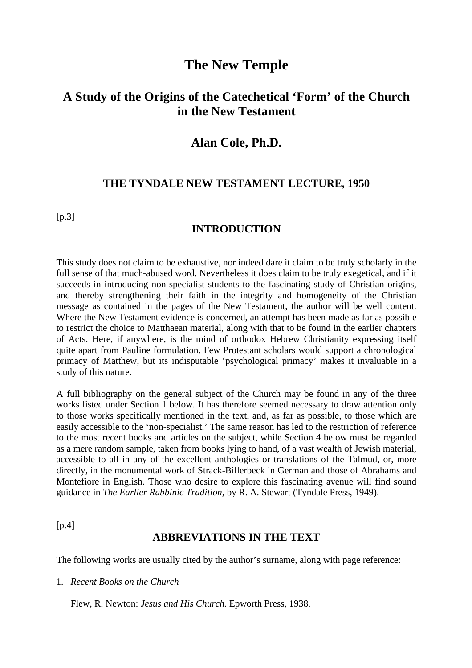# **The New Temple**

# **A Study of the Origins of the Catechetical 'Form' of the Church in the New Testament**

### **Alan Cole, Ph.D.**

### **THE TYNDALE NEW TESTAMENT LECTURE, 1950**

 $[p.3]$ 

### **INTRODUCTION**

This study does not claim to be exhaustive, nor indeed dare it claim to be truly scholarly in the full sense of that much-abused word. Nevertheless it does claim to be truly exegetical, and if it succeeds in introducing non-specialist students to the fascinating study of Christian origins, and thereby strengthening their faith in the integrity and homogeneity of the Christian message as contained in the pages of the New Testament, the author will be well content. Where the New Testament evidence is concerned, an attempt has been made as far as possible to restrict the choice to Matthaean material, along with that to be found in the earlier chapters of Acts. Here, if anywhere, is the mind of orthodox Hebrew Christianity expressing itself quite apart from Pauline formulation. Few Protestant scholars would support a chronological primacy of Matthew, but its indisputable 'psychological primacy' makes it invaluable in a study of this nature.

A full bibliography on the general subject of the Church may be found in any of the three works listed under Section 1 below. It has therefore seemed necessary to draw attention only to those works specifically mentioned in the text, and, as far as possible, to those which are easily accessible to the 'non-specialist.' The same reason has led to the restriction of reference to the most recent books and articles on the subject, while Section 4 below must be regarded as a mere random sample, taken from books lying to hand, of a vast wealth of Jewish material, accessible to all in any of the excellent anthologies or translations of the Talmud, or, more directly, in the monumental work of Strack-Billerbeck in German and those of Abrahams and Montefiore in English. Those who desire to explore this fascinating avenue will find sound guidance in *The Earlier Rabbinic Tradition,* by R. A. Stewart (Tyndale Press, 1949).

 $[p.4]$ 

### **ABBREVIATIONS IN THE TEXT**

The following works are usually cited by the author's surname, along with page reference:

1. *Recent Books on the Church*

Flew, R. Newton: *Jesus and His Church.* Epworth Press, 1938.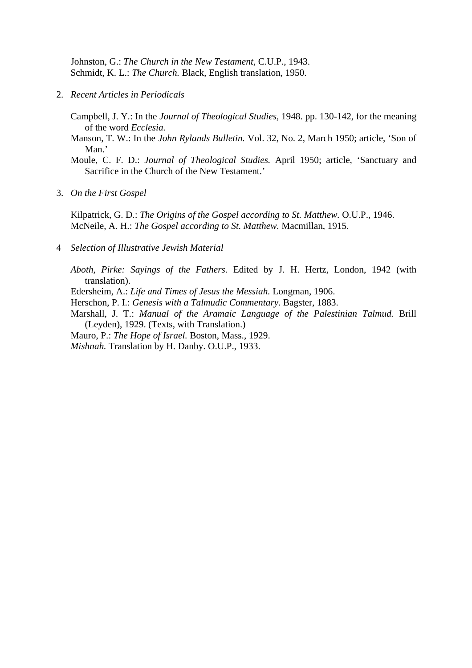Johnston, G.: *The Church in the New Testament,* C.U.P., 1943. Schmidt, K. L.: *The Church.* Black, English translation, 1950.

2. *Recent Articles in Periodicals*

Campbell, J. Y.: In the *Journal of Theological Studies,* 1948. pp. 130-142, for the meaning of the word *Ecclesia.*

Manson, T. W.: In the *John Rylands Bulletin.* Vol. 32, No. 2, March 1950; article, 'Son of Man.'

Moule, C. F. D.: *Journal of Theological Studies.* April 1950; article, 'Sanctuary and Sacrifice in the Church of the New Testament.'

3. *On the First Gospel*

Kilpatrick, G. D.: *The Origins of the Gospel according to St. Matthew.* O.U.P., 1946. McNeile, A. H.: *The Gospel according to St. Matthew.* Macmillan, 1915.

4 *Selection of Illustrative Jewish Material*

*Aboth, Pirke: Sayings of the Fathers.* Edited by J. H. Hertz, London, 1942 (with translation).

Edersheim, A.: *Life and Times of Jesus the Messiah.* Longman, 1906.

Herschon, P. I.: *Genesis with a Talmudic Commentary.* Bagster, 1883.

Marshall, J. T.: *Manual of the Aramaic Language of the Palestinian Talmud.* Brill (Leyden), 1929. (Texts, with Translation.)

Mauro, P.: *The Hope of Israel.* Boston, Mass., 1929.

*Mishnah.* Translation by H. Danby. O.U.P., 1933.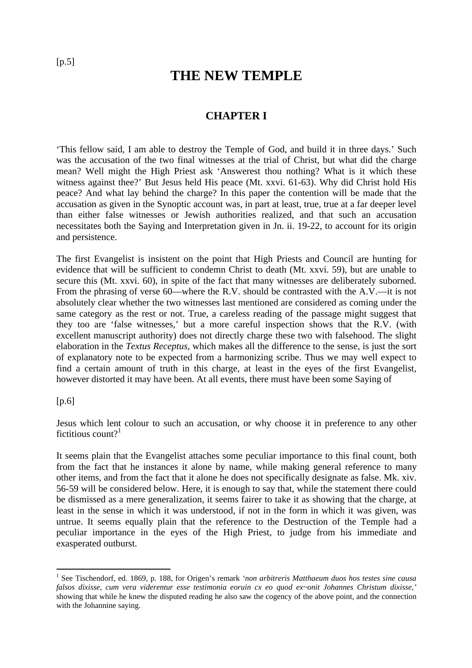# **THE NEW TEMPLE**

## **CHAPTER I**

'This fellow said, I am able to destroy the Temple of God, and build it in three days.' Such was the accusation of the two final witnesses at the trial of Christ, but what did the charge mean? Well might the High Priest ask 'Answerest thou nothing? What is it which these witness against thee?' But Jesus held His peace (Mt. xxvi. 61-63). Why did Christ hold His peace? And what lay behind the charge? In this paper the contention will be made that the accusation as given in the Synoptic account was, in part at least, true, true at a far deeper level than either false witnesses or Jewish authorities realized, and that such an accusation necessitates both the Saying and Interpretation given in Jn. ii. 19-22, to account for its origin and persistence.

The first Evangelist is insistent on the point that High Priests and Council are hunting for evidence that will be sufficient to condemn Christ to death (Mt. xxvi. 59), but are unable to secure this (Mt. xxvi. 60), in spite of the fact that many witnesses are deliberately suborned. From the phrasing of verse 60—where the R.V. should be contrasted with the A.V.—it is not absolutely clear whether the two witnesses last mentioned are considered as coming under the same category as the rest or not. True, a careless reading of the passage might suggest that they too are 'false witnesses,' but a more careful inspection shows that the R.V. (with excellent manuscript authority) does not directly charge these two with falsehood. The slight elaboration in the *Textus Receptus,* which makes all the difference to the sense, is just the sort of explanatory note to be expected from a harmonizing scribe. Thus we may well expect to find a certain amount of truth in this charge, at least in the eyes of the first Evangelist, however distorted it may have been. At all events, there must have been some Saying of

### [p.6]

 $\overline{a}$ 

Jesus which lent colour to such an accusation, or why choose it in preference to any other fictitious count? $1$ 

It seems plain that the Evangelist attaches some peculiar importance to this final count, both from the fact that he instances it alone by name, while making general reference to many other items, and from the fact that it alone he does not specifically designate as false. Mk. xiv. 56-59 will be considered below. Here, it is enough to say that, while the statement there could be dismissed as a mere generalization, it seems fairer to take it as showing that the charge, at least in the sense in which it was understood, if not in the form in which it was given, was untrue. It seems equally plain that the reference to the Destruction of the Temple had a peculiar importance in the eyes of the High Priest, to judge from his immediate and exasperated outburst.

<sup>1</sup> See Tischendorf, ed. 1869, p. 188, for Origen's remark *'non arbitreris Matthaeum duos hos testes sine causa falsos dixisse, cum vera viderentur esse testimonia eoruin cx eo quod ex~onit Johannes Christum dixisse,'* showing that while he knew the disputed reading he also saw the cogency of the above point, and the connection with the Johannine saying.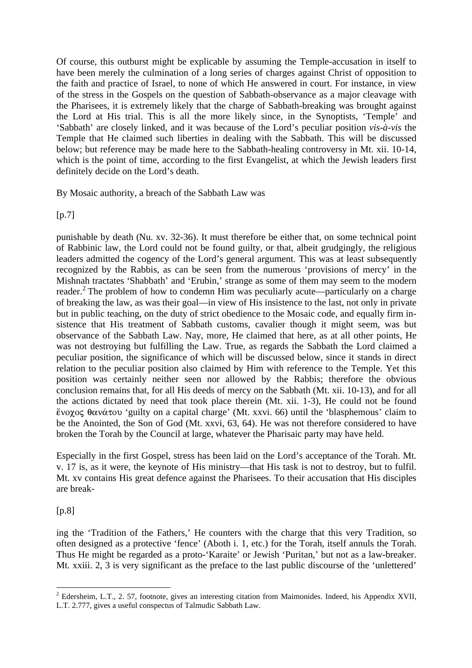Of course, this outburst might be explicable by assuming the Temple-accusation in itself to have been merely the culmination of a long series of charges against Christ of opposition to the faith and practice of Israel, to none of which He answered in court. For instance, in view of the stress in the Gospels on the question of Sabbath-observance as a major cleavage with the Pharisees, it is extremely likely that the charge of Sabbath-breaking was brought against the Lord at His trial. This is all the more likely since, in the Synoptists, 'Temple' and 'Sabbath' are closely linked, and it was because of the Lord's peculiar position *vis-à-vis* the Temple that He claimed such liberties in dealing with the Sabbath. This will be discussed below; but reference may be made here to the Sabbath-healing controversy in Mt. xii. 10-14, which is the point of time, according to the first Evangelist, at which the Jewish leaders first definitely decide on the Lord's death.

By Mosaic authority, a breach of the Sabbath Law was

[p.7]

punishable by death (Nu. xv. 32-36). It must therefore be either that, on some technical point of Rabbinic law, the Lord could not be found guilty, or that, albeit grudgingly, the religious leaders admitted the cogency of the Lord's general argument. This was at least subsequently recognized by the Rabbis, as can be seen from the numerous 'provisions of mercy' in the Mishnah tractates 'Shabbath' and 'Erubin,' strange as some of them may seem to the modern reader.<sup>2</sup> The problem of how to condemn Him was peculiarly acute—particularly on a charge of breaking the law, as was their goal—in view of His insistence to the last, not only in private but in public teaching, on the duty of strict obedience to the Mosaic code, and equally firm insistence that His treatment of Sabbath customs, cavalier though it might seem, was but observance of the Sabbath Law. Nay, more, He claimed that here, as at all other points, He was not destroying but fulfilling the Law. True, as regards the Sabbath the Lord claimed a peculiar position, the significance of which will be discussed below, since it stands in direct relation to the peculiar position also claimed by Him with reference to the Temple. Yet this position was certainly neither seen nor allowed by the Rabbis; therefore the obvious conclusion remains that, for all His deeds of mercy on the Sabbath (Mt. xii. 10-13), and for all the actions dictated by need that took place therein (Mt. xii. 1-3), He could not be found ένοχος θανάτου 'guilty on a capital charge' (Mt. xxvi. 66) until the 'blasphemous' claim to be the Anointed, the Son of God (Mt. xxvi, 63, 64). He was not therefore considered to have broken the Torah by the Council at large, whatever the Pharisaic party may have held.

Especially in the first Gospel, stress has been laid on the Lord's acceptance of the Torah. Mt. v. 17 is, as it were, the keynote of His ministry—that His task is not to destroy, but to fulfil. Mt. xv contains His great defence against the Pharisees. To their accusation that His disciples are break-

 $[p.8]$ 

ing the 'Tradition of the Fathers,' He counters with the charge that this very Tradition, so often designed as a protective 'fence' (Aboth i. 1, etc.) for the Torah, itself annuls the Torah. Thus He might be regarded as a proto-'Karaite' or Jewish 'Puritan,' but not as a law-breaker. Mt. xxiii. 2, 3 is very significant as the preface to the last public discourse of the 'unlettered'

 $\overline{a}$ <sup>2</sup> Edersheim, L.T., 2. 57, footnote, gives an interesting citation from Maimonides. Indeed, his Appendix XVII, L.T. 2.777, gives a useful conspectus of Talmudic Sabbath Law.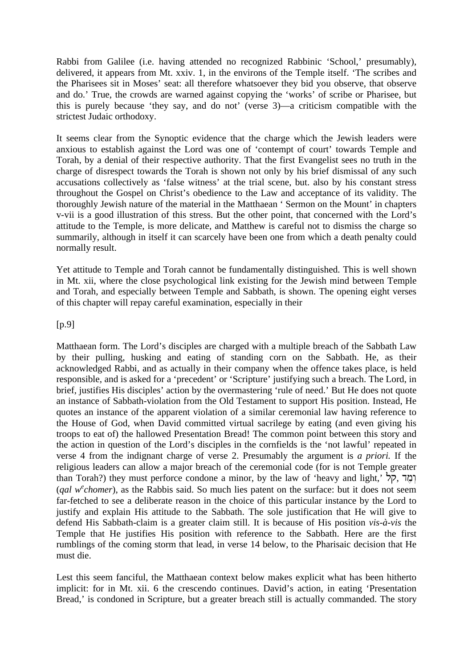Rabbi from Galilee (i.e. having attended no recognized Rabbinic 'School,' presumably), delivered, it appears from Mt. xxiv. 1, in the environs of the Temple itself. 'The scribes and the Pharisees sit in Moses' seat: all therefore whatsoever they bid you observe, that observe and do.' True, the crowds are warned against copying the 'works' of scribe or Pharisee, but this is purely because 'they say, and do not' (verse 3)—a criticism compatible with the strictest Judaic orthodoxy.

It seems clear from the Synoptic evidence that the charge which the Jewish leaders were anxious to establish against the Lord was one of 'contempt of court' towards Temple and Torah, by a denial of their respective authority. That the first Evangelist sees no truth in the charge of disrespect towards the Torah is shown not only by his brief dismissal of any such accusations collectively as 'false witness' at the trial scene, but. also by his constant stress throughout the Gospel on Christ's obedience to the Law and acceptance of its validity. The thoroughly Jewish nature of the material in the Matthaean ' Sermon on the Mount' in chapters v-vii is a good illustration of this stress. But the other point, that concerned with the Lord's attitude to the Temple, is more delicate, and Matthew is careful not to dismiss the charge so summarily, although in itself it can scarcely have been one from which a death penalty could normally result.

Yet attitude to Temple and Torah cannot be fundamentally distinguished. This is well shown in Mt. xii, where the close psychological link existing for the Jewish mind between Temple and Torah, and especially between Temple and Sabbath, is shown. The opening eight verses of this chapter will repay careful examination, especially in their

### [p.9]

Matthaean form. The Lord's disciples are charged with a multiple breach of the Sabbath Law by their pulling, husking and eating of standing corn on the Sabbath. He, as their acknowledged Rabbi, and as actually in their company when the offence takes place, is held responsible, and is asked for a 'precedent' or 'Scripture' justifying such a breach. The Lord, in brief, justifies His disciples' action by the overmastering 'rule of need.' But He does not quote an instance of Sabbath-violation from the Old Testament to support His position. Instead, He quotes an instance of the apparent violation of a similar ceremonial law having reference to the House of God, when David committed virtual sacrilege by eating (and even giving his troops to eat of) the hallowed Presentation Bread! The common point between this story and the action in question of the Lord's disciples in the cornfields is the 'not lawful' repeated in verse 4 from the indignant charge of verse 2. Presumably the argument is *a priori.* If the religious leaders can allow a major breach of the ceremonial code (for is not Temple greater than Torah?) they must perforce condone a minor, by the law of 'heavy and light,' ומד, הל (*qal w<sup>e</sup>chomer*), as the Rabbis said. So much lies patent on the surface: but it does not seem far-fetched to see a deliberate reason in the choice of this particular instance by the Lord to justify and explain His attitude to the Sabbath. The sole justification that He will give to defend His Sabbath-claim is a greater claim still. It is because of His position *vis-à-vis* the Temple that He justifies His position with reference to the Sabbath. Here are the first rumblings of the coming storm that lead, in verse 14 below, to the Pharisaic decision that He must die.

Lest this seem fanciful, the Matthaean context below makes explicit what has been hitherto implicit: for in Mt. xii. 6 the crescendo continues. David's action, in eating 'Presentation Bread,' is condoned in Scripture, but a greater breach still is actually commanded. The story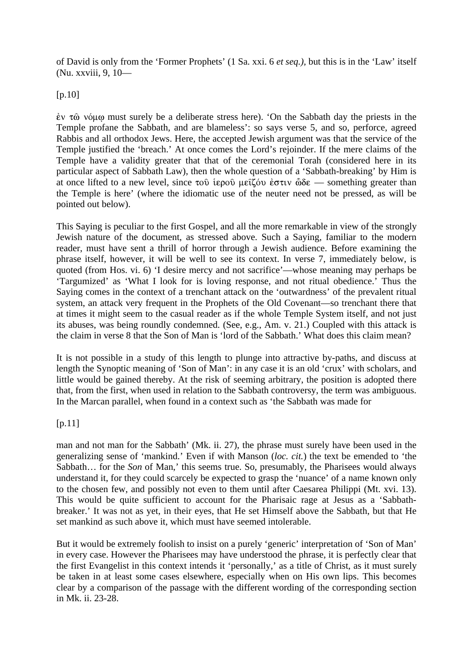of David is only from the 'Former Prophets' (1 Sa. xxi. 6 *et seq.),* but this is in the 'Law' itself (Nu. xxviii, 9, 10—

 $[p.10]$ 

 $\dot{\epsilon}$   $\rm{v}$   $\rm{r}$  $\rm{\dot{\omega}}$   $\rm{v}$  must surely be a deliberate stress here). 'On the Sabbath day the priests in the Temple profane the Sabbath, and are blameless': so says verse 5, and so, perforce, agreed Rabbis and all orthodox Jews. Here, the accepted Jewish argument was that the service of the Temple justified the 'breach.' At once comes the Lord's rejoinder. If the mere claims of the Temple have a validity greater that that of the ceremonial Torah (considered here in its particular aspect of Sabbath Law), then the whole question of a 'Sabbath-breaking' by Him is at once lifted to a new level, since  $\tau$   $\infty$   $\tilde{\tau}$   $\infty$   $\tilde{\tau}$  are  $\tilde{\tau}$  is  $\tilde{\tau}$  is  $\tilde{\tau}$  are  $\tilde{\tau}$  is  $\tilde{\tau}$  are  $\tilde{\tau}$  is  $\tilde{\tau}$  is  $\tilde{\tau}$  is  $\tilde{\tau}$  is  $\tilde{\tau}$  is  $\tilde{\tau}$  is  $\tilde{\tau}$  is the Temple is here' (where the idiomatic use of the neuter need not be pressed, as will be pointed out below).

This Saying is peculiar to the first Gospel, and all the more remarkable in view of the strongly Jewish nature of the document, as stressed above. Such a Saying, familiar to the modern reader, must have sent a thrill of horror through a Jewish audience. Before examining the phrase itself, however, it will be well to see its context. In verse 7, immediately below, is quoted (from Hos. vi. 6) 'I desire mercy and not sacrifice'—whose meaning may perhaps be 'Targumized' as 'What I look for is loving response, and not ritual obedience.' Thus the Saying comes in the context of a trenchant attack on the 'outwardness' of the prevalent ritual system, an attack very frequent in the Prophets of the Old Covenant—so trenchant there that at times it might seem to the casual reader as if the whole Temple System itself, and not just its abuses, was being roundly condemned. (See, e.g., Am. v. 21.) Coupled with this attack is the claim in verse 8 that the Son of Man is 'lord of the Sabbath.' What does this claim mean?

It is not possible in a study of this length to plunge into attractive by-paths, and discuss at length the Synoptic meaning of 'Son of Man': in any case it is an old 'crux' with scholars, and little would be gained thereby. At the risk of seeming arbitrary, the position is adopted there that, from the first, when used in relation to the Sabbath controversy, the term was ambiguous. In the Marcan parallel, when found in a context such as 'the Sabbath was made for

### $[p.11]$

man and not man for the Sabbath' (Mk. ii. 27), the phrase must surely have been used in the generalizing sense of 'mankind.' Even if with Manson (*loc. cit.*) the text be emended to 'the Sabbath... for the *Son* of Man,' this seems true. So, presumably, the Pharisees would always understand it, for they could scarcely be expected to grasp the 'nuance' of a name known only to the chosen few, and possibly not even to them until after Caesarea Philippi (Mt. xvi. 13). This would be quite sufficient to account for the Pharisaic rage at Jesus as a 'Sabbathbreaker.' It was not as yet, in their eyes, that He set Himself above the Sabbath, but that He set mankind as such above it, which must have seemed intolerable.

But it would be extremely foolish to insist on a purely 'generic' interpretation of 'Son of Man' in every case. However the Pharisees may have understood the phrase, it is perfectly clear that the first Evangelist in this context intends it 'personally,' as a title of Christ, as it must surely be taken in at least some cases elsewhere, especially when on His own lips. This becomes clear by a comparison of the passage with the different wording of the corresponding section in Mk. ii. 23-28.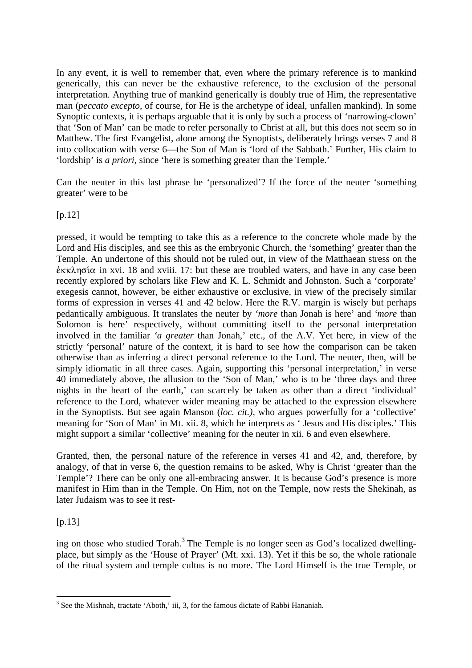In any event, it is well to remember that, even where the primary reference is to mankind generically, this can never be the exhaustive reference, to the exclusion of the personal interpretation. Anything true of mankind generically is doubly true of Him, the representative man (*peccato excepto,* of course, for He is the archetype of ideal, unfallen mankind). In some Synoptic contexts, it is perhaps arguable that it is only by such a process of 'narrowing-clown' that 'Son of Man' can be made to refer personally to Christ at all, but this does not seem so in Matthew. The first Evangelist, alone among the Synoptists, deliberately brings verses 7 and 8 into collocation with verse 6—the Son of Man is 'lord of the Sabbath.' Further, His claim to 'lordship' is *a priori,* since 'here is something greater than the Temple.'

Can the neuter in this last phrase be 'personalized'? If the force of the neuter 'something greater' were to be

[p.12]

pressed, it would be tempting to take this as a reference to the concrete whole made by the Lord and His disciples, and see this as the embryonic Church, the 'something' greater than the Temple. An undertone of this should not be ruled out, in view of the Matthaean stress on the  $\epsilon$ KK $\lambda$ ησία in xvi. 18 and xviii. 17: but these are troubled waters, and have in any case been recently explored by scholars like Flew and K. L. Schmidt and Johnston. Such a 'corporate' exegesis cannot, however, be either exhaustive or exclusive, in view of the precisely similar forms of expression in verses 41 and 42 below. Here the R.V. margin is wisely but perhaps pedantically ambiguous. It translates the neuter by *'more* than Jonah is here' and *'more* than Solomon is here' respectively, without committing itself to the personal interpretation involved in the familiar *'a greater* than Jonah,' etc., of the A.V. Yet here, in view of the strictly 'personal' nature of the context, it is hard to see how the comparison can be taken otherwise than as inferring a direct personal reference to the Lord. The neuter, then, will be simply idiomatic in all three cases. Again, supporting this 'personal interpretation,' in verse 40 immediately above, the allusion to the 'Son of Man,' who is to be 'three days and three nights in the heart of the earth,' can scarcely be taken as other than a direct 'individual' reference to the Lord, whatever wider meaning may be attached to the expression elsewhere in the Synoptists. But see again Manson (*loc. cit.),* who argues powerfully for a 'collective' meaning for 'Son of Man' in Mt. xii. 8, which he interprets as ' Jesus and His disciples.' This might support a similar 'collective' meaning for the neuter in xii. 6 and even elsewhere.

Granted, then, the personal nature of the reference in verses 41 and 42, and, therefore, by analogy, of that in verse 6, the question remains to be asked, Why is Christ 'greater than the Temple'? There can be only one all-embracing answer. It is because God's presence is more manifest in Him than in the Temple. On Him, not on the Temple, now rests the Shekinah, as later Judaism was to see it rest-

 $[p.13]$ 

ing on those who studied Torah.<sup>3</sup> The Temple is no longer seen as God's localized dwellingplace, but simply as the 'House of Prayer' (Mt. xxi. 13). Yet if this be so, the whole rationale of the ritual system and temple cultus is no more. The Lord Himself is the true Temple, or

 $\overline{a}$  $3$  See the Mishnah, tractate 'Aboth,' iii, 3, for the famous dictate of Rabbi Hananiah.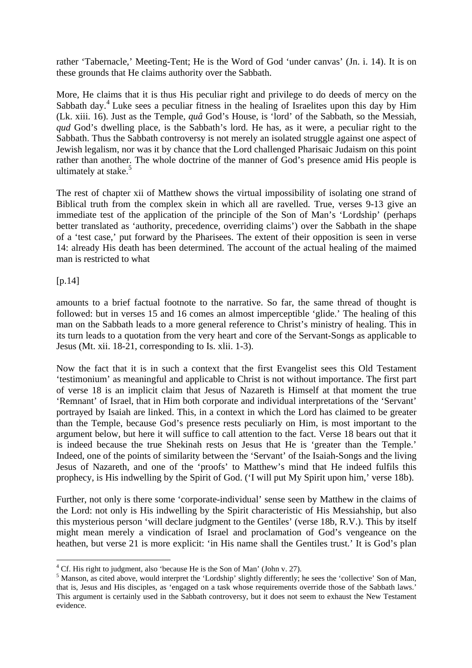rather 'Tabernacle,' Meeting-Tent; He is the Word of God 'under canvas' (Jn. i. 14). It is on these grounds that He claims authority over the Sabbath.

More, He claims that it is thus His peculiar right and privilege to do deeds of mercy on the Sabbath day.<sup>4</sup> Luke sees a peculiar fitness in the healing of Israelites upon this day by Him (Lk. xiii. 16). Just as the Temple, *quâ* God's House, is 'lord' of the Sabbath, so the Messiah, *qud* God's dwelling place, is the Sabbath's lord. He has, as it were, a peculiar right to the Sabbath. Thus the Sabbath controversy is not merely an isolated struggle against one aspect of Jewish legalism, nor was it by chance that the Lord challenged Pharisaic Judaism on this point rather than another. The whole doctrine of the manner of God's presence amid His people is ultimately at stake.<sup>5</sup>

The rest of chapter xii of Matthew shows the virtual impossibility of isolating one strand of Biblical truth from the complex skein in which all are ravelled. True, verses 9-13 give an immediate test of the application of the principle of the Son of Man's 'Lordship' (perhaps better translated as 'authority, precedence, overriding claims') over the Sabbath in the shape of a 'test case,' put forward by the Pharisees. The extent of their opposition is seen in verse 14: already His death has been determined. The account of the actual healing of the maimed man is restricted to what

[p.14]

 $\overline{a}$ 

amounts to a brief factual footnote to the narrative. So far, the same thread of thought is followed: but in verses 15 and 16 comes an almost imperceptible 'glide.' The healing of this man on the Sabbath leads to a more general reference to Christ's ministry of healing. This in its turn leads to a quotation from the very heart and core of the Servant-Songs as applicable to Jesus (Mt. xii. 18-21, corresponding to Is. xlii. 1-3).

Now the fact that it is in such a context that the first Evangelist sees this Old Testament 'testimonium' as meaningful and applicable to Christ is not without importance. The first part of verse 18 is an implicit claim that Jesus of Nazareth is Himself at that moment the true 'Remnant' of Israel, that in Him both corporate and individual interpretations of the 'Servant' portrayed by Isaiah are linked. This, in a context in which the Lord has claimed to be greater than the Temple, because God's presence rests peculiarly on Him, is most important to the argument below, but here it will suffice to call attention to the fact. Verse 18 bears out that it is indeed because the true Shekinah rests on Jesus that He is 'greater than the Temple.' Indeed, one of the points of similarity between the 'Servant' of the Isaiah-Songs and the living Jesus of Nazareth, and one of the 'proofs' to Matthew's mind that He indeed fulfils this prophecy, is His indwelling by the Spirit of God. ('I will put My Spirit upon him,' verse 18b).

Further, not only is there some 'corporate-individual' sense seen by Matthew in the claims of the Lord: not only is His indwelling by the Spirit characteristic of His Messiahship, but also this mysterious person 'will declare judgment to the Gentiles' (verse 18b, R.V.). This by itself might mean merely a vindication of Israel and proclamation of God's vengeance on the heathen, but verse 21 is more explicit: 'in His name shall the Gentiles trust.' It is God's plan

 $4^4$  Cf. His right to judgment, also 'because He is the Son of Man' (John v. 27).

<sup>&</sup>lt;sup>5</sup> Manson, as cited above, would interpret the 'Lordship' slightly differently; he sees the 'collective' Son of Man, that is, Jesus and His disciples, as 'engaged on a task whose requirements override those of the Sabbath laws.' This argument is certainly used in the Sabbath controversy, but it does not seem to exhaust the New Testament evidence.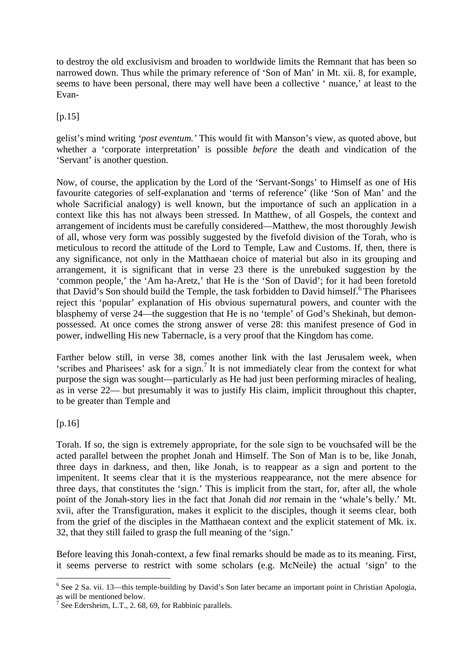to destroy the old exclusivism and broaden to worldwide limits the Remnant that has been so narrowed down. Thus while the primary reference of 'Son of Man' in Mt. xii. 8, for example, seems to have been personal, there may well have been a collective ' nuance,' at least to the Evan-

 $[p.15]$ 

gelist's mind writing *'post eventum.'* This would fit with Manson's view, as quoted above, but whether a 'corporate interpretation' is possible *before* the death and vindication of the 'Servant' is another question.

Now, of course, the application by the Lord of the 'Servant-Songs' to Himself as one of His favourite categories of self-explanation and 'terms of reference' (like 'Son of Man' and the whole Sacrificial analogy) is well known, but the importance of such an application in a context like this has not always been stressed. In Matthew, of all Gospels, the context and arrangement of incidents must be carefully considered—Matthew, the most thoroughly Jewish of all, whose very form was possibly suggested by the fivefold division of the Torah, who is meticulous to record the attitude of the Lord to Temple, Law and Customs. If, then, there is any significance, not only in the Matthaean choice of material but also in its grouping and arrangement, it is significant that in verse 23 there is the unrebuked suggestion by the 'common people,' the 'Am ha-Aretz,' that He is the 'Son of David'; for it had been foretold that David's Son should build the Temple, the task forbidden to David himself.<sup>6</sup> The Pharisees reject this 'popular' explanation of His obvious supernatural powers, and counter with the blasphemy of verse 24—the suggestion that He is no 'temple' of God's Shekinah, but demonpossessed. At once comes the strong answer of verse 28: this manifest presence of God in power, indwelling His new Tabernacle, is a very proof that the Kingdom has come.

Farther below still, in verse 38, comes another link with the last Jerusalem week, when 'scribes and Pharisees' ask for a sign.<sup>7</sup> It is not immediately clear from the context for what purpose the sign was sought—particularly as He had just been performing miracles of healing, as in verse 22— but presumably it was to justify His claim, implicit throughout this chapter, to be greater than Temple and

 $[p.16]$ 

Torah. If so, the sign is extremely appropriate, for the sole sign to be vouchsafed will be the acted parallel between the prophet Jonah and Himself. The Son of Man is to be, like Jonah, three days in darkness, and then, like Jonah, is to reappear as a sign and portent to the impenitent. It seems clear that it is the mysterious reappearance, not the mere absence for three days, that constitutes the 'sign.' This is implicit from the start, for, after all, the whole point of the Jonah-story lies in the fact that Jonah did *not* remain in the 'whale's belly.' Mt. xvii, after the Transfiguration, makes it explicit to the disciples, though it seems clear, both from the grief of the disciples in the Matthaean context and the explicit statement of Mk. ix. 32, that they still failed to grasp the full meaning of the 'sign.'

Before leaving this Jonah-context, a few final remarks should be made as to its meaning. First, it seems perverse to restrict with some scholars (e.g. McNeile) the actual 'sign' to the

 $\overline{a}$ <sup>6</sup> See 2 Sa. vii. 13—this temple-building by David's Son later became an important point in Christian Apologia, as will be mentioned below.

<sup>&</sup>lt;sup>7</sup> See Edersheim, L.T., 2. 68, 69, for Rabbinic parallels.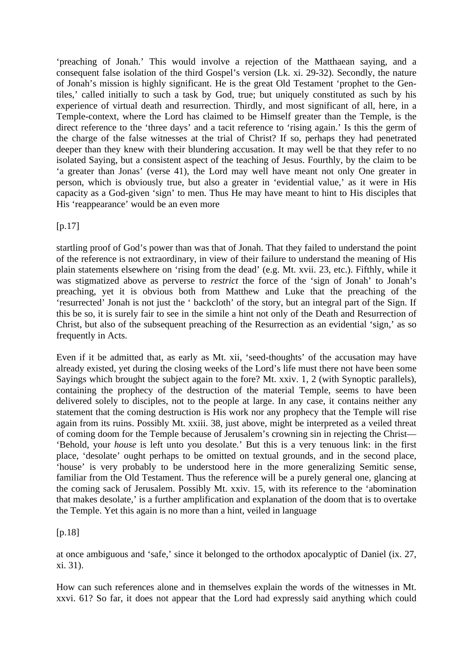'preaching of Jonah.' This would involve a rejection of the Matthaean saying, and a consequent false isolation of the third Gospel's version (Lk. xi. 29-32). Secondly, the nature of Jonah's mission is highly significant. He is the great Old Testament 'prophet to the Gentiles,' called initially to such a task by God, true; but uniquely constituted as such by his experience of virtual death and resurrection. Thirdly, and most significant of all, here, in a Temple-context, where the Lord has claimed to be Himself greater than the Temple, is the direct reference to the 'three days' and a tacit reference to 'rising again.' Is this the germ of the charge of the false witnesses at the trial of Christ? If so, perhaps they had penetrated deeper than they knew with their blundering accusation. It may well be that they refer to no isolated Saying, but a consistent aspect of the teaching of Jesus. Fourthly, by the claim to be 'a greater than Jonas' (verse 41), the Lord may well have meant not only One greater in person, which is obviously true, but also a greater in 'evidential value,' as it were in His capacity as a God-given 'sign' to men. Thus He may have meant to hint to His disciples that His 'reappearance' would be an even more

 $[p.17]$ 

startling proof of God's power than was that of Jonah. That they failed to understand the point of the reference is not extraordinary, in view of their failure to understand the meaning of His plain statements elsewhere on 'rising from the dead' (e.g. Mt. xvii. 23, etc.). Fifthly, while it was stigmatized above as perverse to *restrict* the force of the 'sign of Jonah' to Jonah's preaching, yet it is obvious both from Matthew and Luke that the preaching of the 'resurrected' Jonah is not just the ' backcloth' of the story, but an integral part of the Sign. If this be so, it is surely fair to see in the simile a hint not only of the Death and Resurrection of Christ, but also of the subsequent preaching of the Resurrection as an evidential 'sign,' as so frequently in Acts.

Even if it be admitted that, as early as Mt. xii, 'seed-thoughts' of the accusation may have already existed, yet during the closing weeks of the Lord's life must there not have been some Sayings which brought the subject again to the fore? Mt. xxiv. 1, 2 (with Synoptic parallels), containing the prophecy of the destruction of the material Temple, seems to have been delivered solely to disciples, not to the people at large. In any case, it contains neither any statement that the coming destruction is His work nor any prophecy that the Temple will rise again from its ruins. Possibly Mt. xxiii. 38, just above, might be interpreted as a veiled threat of coming doom for the Temple because of Jerusalem's crowning sin in rejecting the Christ— 'Behold, your *house* is left unto you desolate.' But this is a very tenuous link: in the first place, 'desolate' ought perhaps to be omitted on textual grounds, and in the second place, 'house' is very probably to be understood here in the more generalizing Semitic sense, familiar from the Old Testament. Thus the reference will be a purely general one, glancing at the coming sack of Jerusalem. Possibly Mt. xxiv. 15, with its reference to the 'abomination that makes desolate,' is a further amplification and explanation of the doom that is to overtake the Temple. Yet this again is no more than a hint, veiled in language

[p.18]

at once ambiguous and 'safe,' since it belonged to the orthodox apocalyptic of Daniel (ix. 27, xi. 31).

How can such references alone and in themselves explain the words of the witnesses in Mt. xxvi. 61? So far, it does not appear that the Lord had expressly said anything which could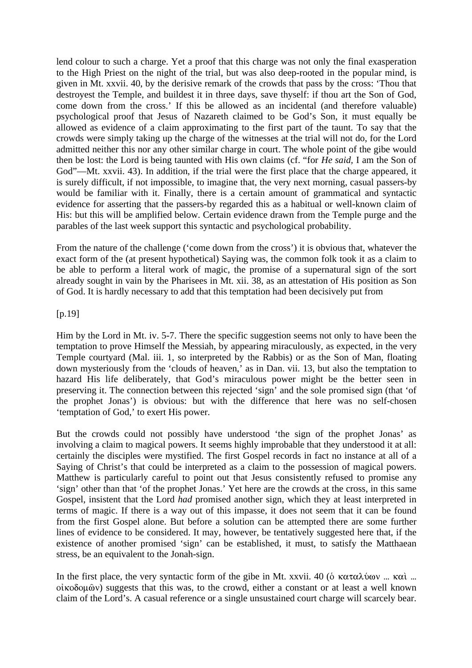lend colour to such a charge. Yet a proof that this charge was not only the final exasperation to the High Priest on the night of the trial, but was also deep-rooted in the popular mind, is given in Mt. xxvii. 40, by the derisive remark of the crowds that pass by the cross: 'Thou that destroyest the Temple, and buildest it in three days, save thyself: if thou art the Son of God, come down from the cross.' If this be allowed as an incidental (and therefore valuable) psychological proof that Jesus of Nazareth claimed to be God's Son, it must equally be allowed as evidence of a claim approximating to the first part of the taunt. To say that the crowds were simply taking up the charge of the witnesses at the trial will not do, for the Lord admitted neither this nor any other similar charge in court. The whole point of the gibe would then be lost: the Lord is being taunted with His own claims (cf. "for *He said,* I am the Son of God"—Mt. xxvii. 43). In addition, if the trial were the first place that the charge appeared, it is surely difficult, if not impossible, to imagine that, the very next morning, casual passers-by would be familiar with it. Finally, there is a certain amount of grammatical and syntactic evidence for asserting that the passers-by regarded this as a habitual or well-known claim of His: but this will be amplified below. Certain evidence drawn from the Temple purge and the parables of the last week support this syntactic and psychological probability.

From the nature of the challenge ('come down from the cross') it is obvious that, whatever the exact form of the (at present hypothetical) Saying was, the common folk took it as a claim to be able to perform a literal work of magic, the promise of a supernatural sign of the sort already sought in vain by the Pharisees in Mt. xii. 38, as an attestation of His position as Son of God. It is hardly necessary to add that this temptation had been decisively put from

### [p.19]

Him by the Lord in Mt. iv. 5-7. There the specific suggestion seems not only to have been the temptation to prove Himself the Messiah, by appearing miraculously, as expected, in the very Temple courtyard (Mal. iii. 1, so interpreted by the Rabbis) or as the Son of Man, floating down mysteriously from the 'clouds of heaven,' as in Dan. vii. 13, but also the temptation to hazard His life deliberately, that God's miraculous power might be the better seen in preserving it. The connection between this rejected 'sign' and the sole promised sign (that 'of the prophet Jonas') is obvious: but with the difference that here was no self-chosen 'temptation of God,' to exert His power.

But the crowds could not possibly have understood 'the sign of the prophet Jonas' as involving a claim to magical powers. It seems highly improbable that they understood it at all: certainly the disciples were mystified. The first Gospel records in fact no instance at all of a Saying of Christ's that could be interpreted as a claim to the possession of magical powers. Matthew is particularly careful to point out that Jesus consistently refused to promise any 'sign' other than that 'of the prophet Jonas.' Yet here are the crowds at the cross, in this same Gospel, insistent that the Lord *had* promised another sign, which they at least interpreted in terms of magic. If there is a way out of this impasse, it does not seem that it can be found from the first Gospel alone. But before a solution can be attempted there are some further lines of evidence to be considered. It may, however, be tentatively suggested here that, if the existence of another promised 'sign' can be established, it must, to satisfy the Matthaean stress, be an equivalent to the Jonah-sign.

In the first place, the very syntactic form of the gibe in Mt. xxvii. 40 ( $\delta$  καταλύων ... καὶ ...  $o$ *i* $\kappa$  $o$  $o$ <sub> $\omega$ </sub> $o$ <sup> $\omega$ </sup>) suggests that this was, to the crowd, either a constant or at least a well known claim of the Lord's. A casual reference or a single unsustained court charge will scarcely bear.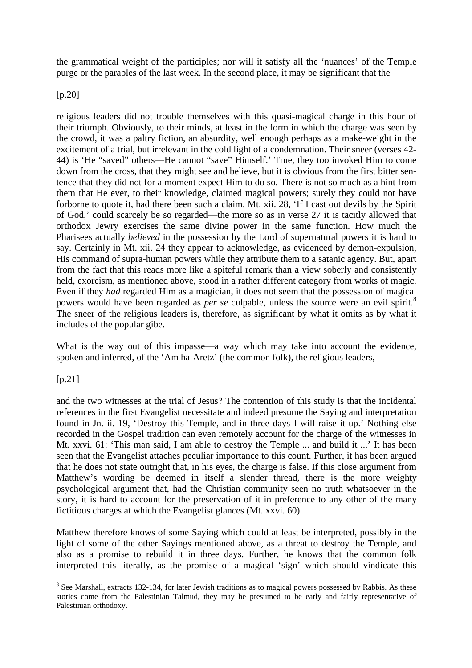the grammatical weight of the participles; nor will it satisfy all the 'nuances' of the Temple purge or the parables of the last week. In the second place, it may be significant that the

[p.20]

religious leaders did not trouble themselves with this quasi-magical charge in this hour of their triumph. Obviously, to their minds, at least in the form in which the charge was seen by the crowd, it was a paltry fiction, an absurdity, well enough perhaps as a make-weight in the excitement of a trial, but irrelevant in the cold light of a condemnation. Their sneer (verses 42- 44) is 'He "saved" others—He cannot "save" Himself.' True, they too invoked Him to come down from the cross, that they might see and believe, but it is obvious from the first bitter sentence that they did not for a moment expect Him to do so. There is not so much as a hint from them that He ever, to their knowledge, claimed magical powers; surely they could not have forborne to quote it, had there been such a claim. Mt. xii. 28, 'If I cast out devils by the Spirit of God,' could scarcely be so regarded—the more so as in verse 27 it is tacitly allowed that orthodox Jewry exercises the same divine power in the same function. How much the Pharisees actually *believed* in the possession by the Lord of supernatural powers it is hard to say. Certainly in Mt. xii. 24 they appear to acknowledge, as evidenced by demon-expulsion, His command of supra-human powers while they attribute them to a satanic agency. But, apart from the fact that this reads more like a spiteful remark than a view soberly and consistently held, exorcism, as mentioned above, stood in a rather different category from works of magic. Even if they *had* regarded Him as a magician, it does not seem that the possession of magical powers would have been regarded as *per se* culpable, unless the source were an evil spirit.<sup>8</sup> The sneer of the religious leaders is, therefore, as significant by what it omits as by what it includes of the popular gibe.

What is the way out of this impasse—a way which may take into account the evidence, spoken and inferred, of the 'Am ha-Aretz' (the common folk), the religious leaders,

[p.21]

 $\overline{a}$ 

and the two witnesses at the trial of Jesus? The contention of this study is that the incidental references in the first Evangelist necessitate and indeed presume the Saying and interpretation found in Jn. ii. 19, 'Destroy this Temple, and in three days I will raise it up.' Nothing else recorded in the Gospel tradition can even remotely account for the charge of the witnesses in Mt. xxvi. 61: 'This man said, I am able to destroy the Temple ... and build it ...' It has been seen that the Evangelist attaches peculiar importance to this count. Further, it has been argued that he does not state outright that, in his eyes, the charge is false. If this close argument from Matthew's wording be deemed in itself a slender thread, there is the more weighty psychological argument that, had the Christian community seen no truth whatsoever in the story, it is hard to account for the preservation of it in preference to any other of the many fictitious charges at which the Evangelist glances (Mt. xxvi. 60).

Matthew therefore knows of some Saying which could at least be interpreted, possibly in the light of some of the other Sayings mentioned above, as a threat to destroy the Temple, and also as a promise to rebuild it in three days. Further, he knows that the common folk interpreted this literally, as the promise of a magical 'sign' which should vindicate this

<sup>&</sup>lt;sup>8</sup> See Marshall, extracts 132-134, for later Jewish traditions as to magical powers possessed by Rabbis. As these stories come from the Palestinian Talmud, they may be presumed to be early and fairly representative of Palestinian orthodoxy.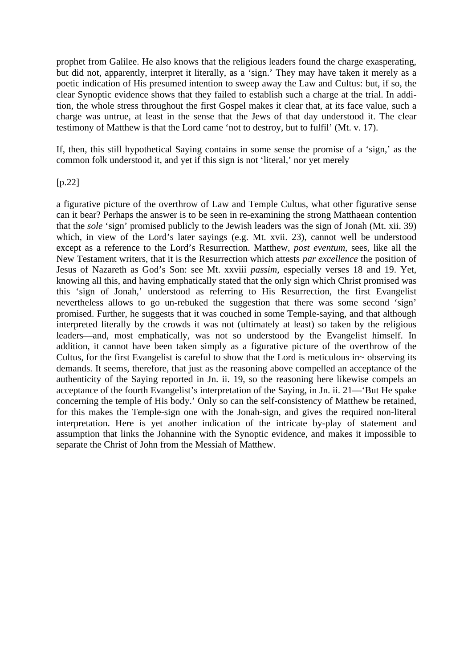prophet from Galilee. He also knows that the religious leaders found the charge exasperating, but did not, apparently, interpret it literally, as a 'sign.' They may have taken it merely as a poetic indication of His presumed intention to sweep away the Law and Cultus: but, if so, the clear Synoptic evidence shows that they failed to establish such a charge at the trial. In addition, the whole stress throughout the first Gospel makes it clear that, at its face value, such a charge was untrue, at least in the sense that the Jews of that day understood it. The clear testimony of Matthew is that the Lord came 'not to destroy, but to fulfil' (Mt. v. 17).

If, then, this still hypothetical Saying contains in some sense the promise of a 'sign,' as the common folk understood it, and yet if this sign is not 'literal,' nor yet merely

### [p.22]

a figurative picture of the overthrow of Law and Temple Cultus, what other figurative sense can it bear? Perhaps the answer is to be seen in re-examining the strong Matthaean contention that the *sole* 'sign' promised publicly to the Jewish leaders was the sign of Jonah (Mt. xii. 39) which, in view of the Lord's later sayings (e.g. Mt. xvii. 23), cannot well be understood except as a reference to the Lord's Resurrection. Matthew, *post eventum,* sees, like all the New Testament writers, that it is the Resurrection which attests *par excellence* the position of Jesus of Nazareth as God's Son: see Mt. xxviii *passim,* especially verses 18 and 19. Yet, knowing all this, and having emphatically stated that the only sign which Christ promised was this 'sign of Jonah,' understood as referring to His Resurrection, the first Evangelist nevertheless allows to go un-rebuked the suggestion that there was some second 'sign' promised. Further, he suggests that it was couched in some Temple-saying, and that although interpreted literally by the crowds it was not (ultimately at least) so taken by the religious leaders—and, most emphatically, was not so understood by the Evangelist himself. In addition, it cannot have been taken simply as a figurative picture of the overthrow of the Cultus, for the first Evangelist is careful to show that the Lord is meticulous in~ observing its demands. It seems, therefore, that just as the reasoning above compelled an acceptance of the authenticity of the Saying reported in Jn. ii. 19, so the reasoning here likewise compels an acceptance of the fourth Evangelist's interpretation of the Saying, in Jn. ii. 21—'But He spake concerning the temple of His body.' Only so can the self-consistency of Matthew be retained, for this makes the Temple-sign one with the Jonah-sign, and gives the required non-literal interpretation. Here is yet another indication of the intricate by-play of statement and assumption that links the Johannine with the Synoptic evidence, and makes it impossible to separate the Christ of John from the Messiah of Matthew.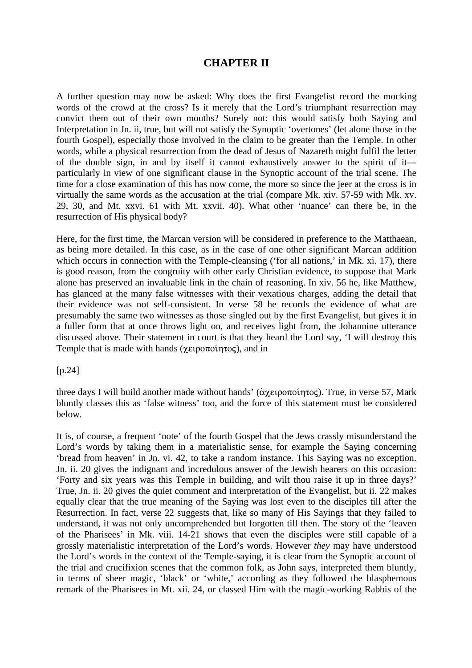### **CHAPTER II**

A further question may now be asked: Why does the first Evangelist record the mocking words of the crowd at the cross? Is it merely that the Lord's triumphant resurrection may convict them out of their own mouths? Surely not: this would satisfy both Saying and Interpretation in Jn. ii, true, but will not satisfy the Synoptic 'overtones' (let alone those in the fourth Gospel), especially those involved in the claim to be greater than the Temple. In other words, while a physical resurrection from the dead of Jesus of Nazareth might fulfil the letter of the double sign, in and by itself it cannot exhaustively answer to the spirit of it particularly in view of one significant clause in the Synoptic account of the trial scene. The time for a close examination of this has now come, the more so since the jeer at the cross is in virtually the same words as the accusation at the trial (compare Mk. xiv. 57-59 with Mk. xv. 29, 30, and Mt. xxvi. 61 with Mt. xxvii. 40). What other 'nuance' can there be, in the resurrection of His physical body?

Here, for the first time, the Marcan version will be considered in preference to the Matthaean, as being more detailed. In this case, as in the case of one other significant Marcan addition which occurs in connection with the Temple-cleansing ('for all nations,' in Mk. xi. 17), there is good reason, from the congruity with other early Christian evidence, to suppose that Mark alone has preserved an invaluable link in the chain of reasoning. In xiv. 56 he, like Matthew, has glanced at the many false witnesses with their vexatious charges, adding the detail that their evidence was not self-consistent. In verse 58 he records the evidence of what are presumably the same two witnesses as those singled out by the first Evangelist, but gives it in a fuller form that at once throws light on, and receives light from, the Johannine utterance discussed above. Their statement in court is that they heard the Lord say, 'I will destroy this Temple that is made with hands ( $\gamma \epsilon$ ), and in in

[p.24]

three days I will build another made without hands' ( $\alpha \chi \epsilon \rho \sigma \sigma \sigma \sigma$ ). True, in verse 57, Mark bluntly classes this as 'false witness' too, and the force of this statement must be considered below.

It is, of course, a frequent 'note' of the fourth Gospel that the Jews crassly misunderstand the Lord's words by taking them in a materialistic sense, for example the Saying concerning 'bread from heaven' in Jn. vi. 42, to take a random instance. This Saying was no exception. Jn. ii. 20 gives the indignant and incredulous answer of the Jewish hearers on this occasion: 'Forty and six years was this Temple in building, and wilt thou raise it up in three days?' True, Jn. ii. 20 gives the quiet comment and interpretation of the Evangelist, but ii. 22 makes equally clear that the true meaning of the Saying was lost even to the disciples till after the Resurrection. In fact, verse 22 suggests that, like so many of His Sayings that they failed to understand, it was not only uncomprehended but forgotten till then. The story of the 'leaven of the Pharisees' in Mk. viii. 14-21 shows that even the disciples were still capable of a grossly materialistic interpretation of the Lord's words. However *they* may have understood the Lord's words in the context of the Temple-saying, it is clear from the Synoptic account of the trial and crucifixion scenes that the common folk, as John says, interpreted them bluntly, in terms of sheer magic, 'black' or 'white,' according as they followed the blasphemous remark of the Pharisees in Mt. xii. 24, or classed Him with the magic-working Rabbis of the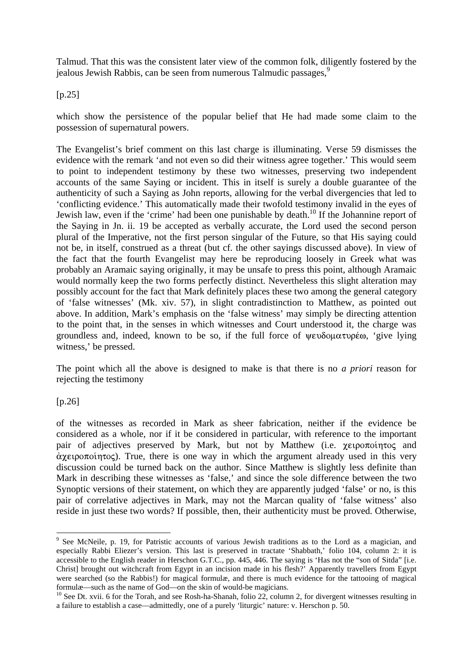Talmud. That this was the consistent later view of the common folk, diligently fostered by the jealous Jewish Rabbis, can be seen from numerous Talmudic passages,<sup>9</sup>

 $[p.25]$ 

which show the persistence of the popular belief that He had made some claim to the possession of supernatural powers.

The Evangelist's brief comment on this last charge is illuminating. Verse 59 dismisses the evidence with the remark 'and not even so did their witness agree together.' This would seem to point to independent testimony by these two witnesses, preserving two independent accounts of the same Saying or incident. This in itself is surely a double guarantee of the authenticity of such a Saying as John reports, allowing for the verbal divergencies that led to 'conflicting evidence.' This automatically made their twofold testimony invalid in the eyes of Jewish law, even if the 'crime' had been one punishable by death.<sup>10</sup> If the Johannine report of the Saying in Jn. ii. 19 be accepted as verbally accurate, the Lord used the second person plural of the Imperative, not the first person singular of the Future, so that His saying could not be, in itself, construed as a threat (but cf. the other sayings discussed above). In view of the fact that the fourth Evangelist may here be reproducing loosely in Greek what was probably an Aramaic saying originally, it may be unsafe to press this point, although Aramaic would normally keep the two forms perfectly distinct. Nevertheless this slight alteration may possibly account for the fact that Mark definitely places these two among the general category of 'false witnesses' (Mk. xiv. 57), in slight contradistinction to Matthew, as pointed out above. In addition, Mark's emphasis on the 'false witness' may simply be directing attention to the point that, in the senses in which witnesses and Court understood it, the charge was groundless and, indeed, known to be so, if the full force of  $\psi \in \mathcal{S}$  of  $\psi$  is lying witness,' be pressed.

The point which all the above is designed to make is that there is no *a priori* reason for rejecting the testimony

### [p.26]

 $\overline{a}$ 

of the witnesses as recorded in Mark as sheer fabrication, neither if the evidence be considered as a whole, nor if it be considered in particular, with reference to the important pair of adjectives preserved by Mark, but not by Matthew (i.e.  $\chi \epsilon \rho \sim \sigma$  and  $\alpha$   $\gamma$   $\epsilon$   $\alpha$   $\alpha$   $\epsilon$ . True, there is one way in which the argument already used in this very discussion could be turned back on the author. Since Matthew is slightly less definite than Mark in describing these witnesses as 'false,' and since the sole difference between the two Synoptic versions of their statement, on which they are apparently judged 'false' or no, is this pair of correlative adjectives in Mark, may not the Marcan quality of 'false witness' also reside in just these two words? If possible, then, their authenticity must be proved. Otherwise,

<sup>&</sup>lt;sup>9</sup> See McNeile, p. 19, for Patristic accounts of various Jewish traditions as to the Lord as a magician, and especially Rabbi Eliezer's version. This last is preserved in tractate 'Shabbath,' folio 104, column 2: it is accessible to the English reader in Herschon G.T.C., pp. 445, 446. The saying is 'Has not the "son of Sitda" [i.e. Christ] brought out witchcraft from Egypt in an incision made in his flesh?' Apparently travellers from Egypt were searched (so the Rabbis!) for magical formulæ, and there is much evidence for the tattooing of magical formulæ—such as the name of God—on the skin of would-be magicians.

<sup>&</sup>lt;sup>10</sup> See Dt. xvii. 6 for the Torah, and see Rosh-ha-Shanah, folio 22, column 2, for divergent witnesses resulting in a failure to establish a case—admittedly, one of a purely 'liturgic' nature: v. Herschon p. 50.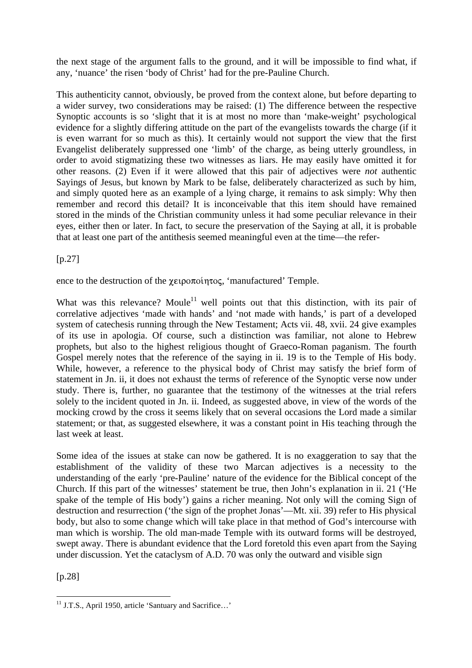the next stage of the argument falls to the ground, and it will be impossible to find what, if any, 'nuance' the risen 'body of Christ' had for the pre-Pauline Church.

This authenticity cannot, obviously, be proved from the context alone, but before departing to a wider survey, two considerations may be raised: (1) The difference between the respective Synoptic accounts is so 'slight that it is at most no more than 'make-weight' psychological evidence for a slightly differing attitude on the part of the evangelists towards the charge (if it is even warrant for so much as this). It certainly would not support the view that the first Evangelist deliberately suppressed one 'limb' of the charge, as being utterly groundless, in order to avoid stigmatizing these two witnesses as liars. He may easily have omitted it for other reasons. (2) Even if it were allowed that this pair of adjectives were *not* authentic Sayings of Jesus, but known by Mark to be false, deliberately characterized as such by him, and simply quoted here as an example of a lying charge, it remains to ask simply: Why then remember and record this detail? It is inconceivable that this item should have remained stored in the minds of the Christian community unless it had some peculiar relevance in their eyes, either then or later. In fact, to secure the preservation of the Saying at all, it is probable that at least one part of the antithesis seemed meaningful even at the time—the refer-

 $[p.27]$ 

ence to the destruction of the  $\chi$ <sub>Elpoπo</sub> (manufactured' Temple.

What was this relevance? Moule<sup>11</sup> well points out that this distinction, with its pair of correlative adjectives 'made with hands' and 'not made with hands,' is part of a developed system of catechesis running through the New Testament; Acts vii. 48, xvii. 24 give examples of its use in apologia. Of course, such a distinction was familiar, not alone to Hebrew prophets, but also to the highest religious thought of Graeco-Roman paganism. The fourth Gospel merely notes that the reference of the saying in ii. 19 is to the Temple of His body. While, however, a reference to the physical body of Christ may satisfy the brief form of statement in Jn. ii, it does not exhaust the terms of reference of the Synoptic verse now under study. There is, further, no guarantee that the testimony of the witnesses at the trial refers solely to the incident quoted in Jn. ii. Indeed, as suggested above, in view of the words of the mocking crowd by the cross it seems likely that on several occasions the Lord made a similar statement; or that, as suggested elsewhere, it was a constant point in His teaching through the last week at least.

Some idea of the issues at stake can now be gathered. It is no exaggeration to say that the establishment of the validity of these two Marcan adjectives is a necessity to the understanding of the early 'pre-Pauline' nature of the evidence for the Biblical concept of the Church. If this part of the witnesses' statement be true, then John's explanation in ii. 21 ('He spake of the temple of His body') gains a richer meaning. Not only will the coming Sign of destruction and resurrection ('the sign of the prophet Jonas'—Mt. xii. 39) refer to His physical body, but also to some change which will take place in that method of God's intercourse with man which is worship. The old man-made Temple with its outward forms will be destroyed, swept away. There is abundant evidence that the Lord foretold this even apart from the Saying under discussion. Yet the cataclysm of A.D. 70 was only the outward and visible sign

[p.28]

 $\overline{a}$  $11$  J.T.S., April 1950, article 'Santuary and Sacrifice...'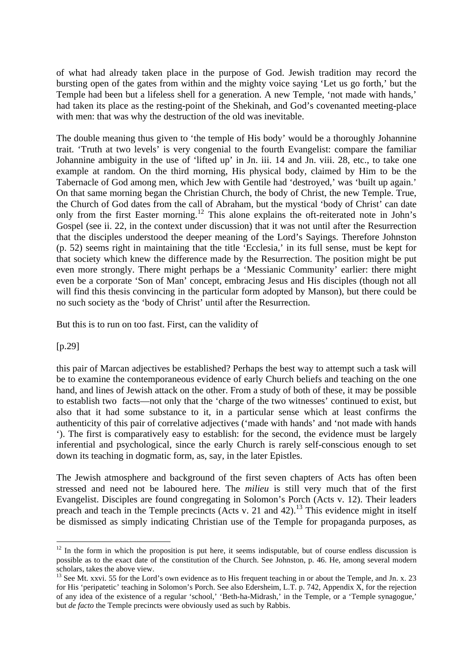of what had already taken place in the purpose of God. Jewish tradition may record the bursting open of the gates from within and the mighty voice saying 'Let us go forth,' but the Temple had been but a lifeless shell for a generation. A new Temple, 'not made with hands,' had taken its place as the resting-point of the Shekinah, and God's covenanted meeting-place with men: that was why the destruction of the old was inevitable.

The double meaning thus given to 'the temple of His body' would be a thoroughly Johannine trait. 'Truth at two levels' is very congenial to the fourth Evangelist: compare the familiar Johannine ambiguity in the use of 'lifted up' in Jn. iii. 14 and Jn. viii. 28, etc., to take one example at random. On the third morning, His physical body, claimed by Him to be the Tabernacle of God among men, which Jew with Gentile had 'destroyed,' was 'built up again.' On that same morning began the Christian Church, the body of Christ, the new Temple. True, the Church of God dates from the call of Abraham, but the mystical 'body of Christ' can date only from the first Easter morning.<sup>12</sup> This alone explains the oft-reiterated note in John's Gospel (see ii. 22, in the context under discussion) that it was not until after the Resurrection that the disciples understood the deeper meaning of the Lord's Sayings. Therefore Johnston (p. 52) seems right in maintaining that the title 'Ecclesia,' in its full sense, must be kept for that society which knew the difference made by the Resurrection. The position might be put even more strongly. There might perhaps be a 'Messianic Community' earlier: there might even be a corporate 'Son of Man' concept, embracing Jesus and His disciples (though not all will find this thesis convincing in the particular form adopted by Manson), but there could be no such society as the 'body of Christ' until after the Resurrection.

But this is to run on too fast. First, can the validity of

[p.29]

 $\overline{a}$ 

this pair of Marcan adjectives be established? Perhaps the best way to attempt such a task will be to examine the contemporaneous evidence of early Church beliefs and teaching on the one hand, and lines of Jewish attack on the other. From a study of both of these, it may be possible to establish two facts—not only that the 'charge of the two witnesses' continued to exist, but also that it had some substance to it, in a particular sense which at least confirms the authenticity of this pair of correlative adjectives ('made with hands' and 'not made with hands '). The first is comparatively easy to establish: for the second, the evidence must be largely inferential and psychological, since the early Church is rarely self-conscious enough to set down its teaching in dogmatic form, as, say, in the later Epistles.

The Jewish atmosphere and background of the first seven chapters of Acts has often been stressed and need not be laboured here. The *milieu* is still very much that of the first Evangelist. Disciples are found congregating in Solomon's Porch (Acts v. 12). Their leaders preach and teach in the Temple precincts (Acts v. 21 and 42).<sup>13</sup> This evidence might in itself be dismissed as simply indicating Christian use of the Temple for propaganda purposes, as

 $12$  In the form in which the proposition is put here, it seems indisputable, but of course endless discussion is possible as to the exact date of the constitution of the Church. See Johnston, p. 46. He, among several modern scholars, takes the above view.

<sup>&</sup>lt;sup>13</sup> See Mt. xxvi. 55 for the Lord's own evidence as to His frequent teaching in or about the Temple, and Jn. x. 23 for His 'peripatetic' teaching in Solomon's Porch. See also Edersheim, L.T. p. 742, Appendix X, for the rejection of any idea of the existence of a regular 'school,' 'Beth-ha-Midrash,' in the Temple, or a 'Temple synagogue,' but *de facto* the Temple precincts were obviously used as such by Rabbis.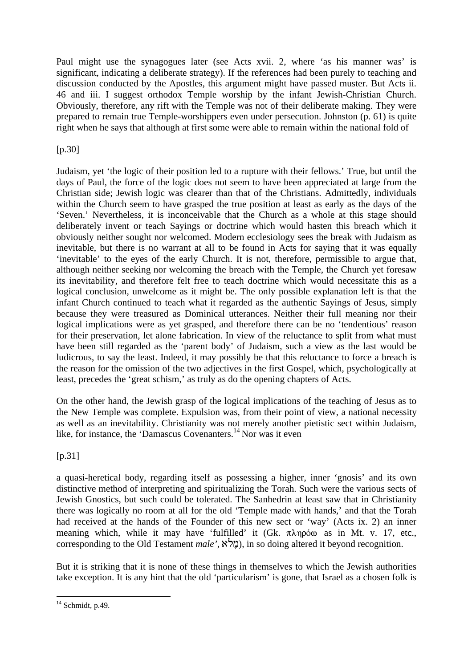Paul might use the synagogues later (see Acts xvii. 2, where 'as his manner was' is significant, indicating a deliberate strategy). If the references had been purely to teaching and discussion conducted by the Apostles, this argument might have passed muster. But Acts ii. 46 and iii. I suggest orthodox Temple worship by the infant Jewish-Christian Church. Obviously, therefore, any rift with the Temple was not of their deliberate making. They were prepared to remain true Temple-worshippers even under persecution. Johnston (p. 61) is quite right when he says that although at first some were able to remain within the national fold of

### $[p.30]$

Judaism, yet 'the logic of their position led to a rupture with their fellows.' True, but until the days of Paul, the force of the logic does not seem to have been appreciated at large from the Christian side; Jewish logic was clearer than that of the Christians. Admittedly, individuals within the Church seem to have grasped the true position at least as early as the days of the 'Seven.' Nevertheless, it is inconceivable that the Church as a whole at this stage should deliberately invent or teach Sayings or doctrine which would hasten this breach which it obviously neither sought nor welcomed. Modern ecclesiology sees the break with Judaism as inevitable, but there is no warrant at all to be found in Acts for saying that it was equally 'inevitable' to the eyes of the early Church. It is not, therefore, permissible to argue that, although neither seeking nor welcoming the breach with the Temple, the Church yet foresaw its inevitability, and therefore felt free to teach doctrine which would necessitate this as a logical conclusion, unwelcome as it might be. The only possible explanation left is that the infant Church continued to teach what it regarded as the authentic Sayings of Jesus, simply because they were treasured as Dominical utterances. Neither their full meaning nor their logical implications were as yet grasped, and therefore there can be no 'tendentious' reason for their preservation, let alone fabrication. In view of the reluctance to split from what must have been still regarded as the 'parent body' of Judaism, such a view as the last would be ludicrous, to say the least. Indeed, it may possibly be that this reluctance to force a breach is the reason for the omission of the two adjectives in the first Gospel, which, psychologically at least, precedes the 'great schism,' as truly as do the opening chapters of Acts.

On the other hand, the Jewish grasp of the logical implications of the teaching of Jesus as to the New Temple was complete. Expulsion was, from their point of view, a national necessity as well as an inevitability. Christianity was not merely another pietistic sect within Judaism, like, for instance, the 'Damascus Covenanters.<sup>14</sup> Nor was it even

[p.31]

a quasi-heretical body, regarding itself as possessing a higher, inner 'gnosis' and its own distinctive method of interpreting and spiritualizing the Torah. Such were the various sects of Jewish Gnostics, but such could be tolerated. The Sanhedrin at least saw that in Christianity there was logically no room at all for the old 'Temple made with hands,' and that the Torah had received at the hands of the Founder of this new sect or 'way' (Acts ix. 2) an inner meaning which, while it may have 'fulfilled' it (Gk.  $\pi \lambda \eta \rho \omega$  as in Mt. v. 17, etc., corresponding to the Old Testament *male'*,  $\hat{\alpha}$ לא), in so doing altered it beyond recognition.

But it is striking that it is none of these things in themselves to which the Jewish authorities take exception. It is any hint that the old 'particularism' is gone, that Israel as a chosen folk is

 $\overline{a}$  $14$  Schmidt, p.49.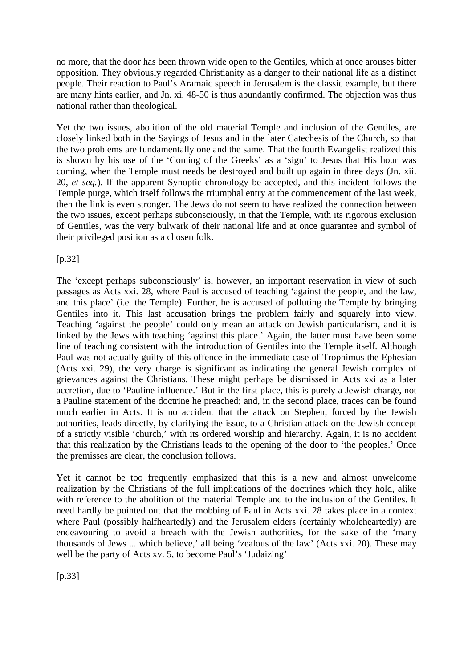no more, that the door has been thrown wide open to the Gentiles, which at once arouses bitter opposition. They obviously regarded Christianity as a danger to their national life as a distinct people. Their reaction to Paul's Aramaic speech in Jerusalem is the classic example, but there are many hints earlier, and Jn. xi. 48-50 is thus abundantly confirmed. The objection was thus national rather than theological.

Yet the two issues, abolition of the old material Temple and inclusion of the Gentiles, are closely linked both in the Sayings of Jesus and in the later Catechesis of the Church, so that the two problems are fundamentally one and the same. That the fourth Evangelist realized this is shown by his use of the 'Coming of the Greeks' as a 'sign' to Jesus that His hour was coming, when the Temple must needs be destroyed and built up again in three days (Jn. xii. 20, *et seq.*). If the apparent Synoptic chronology be accepted, and this incident follows the Temple purge, which itself follows the triumphal entry at the commencement of the last week, then the link is even stronger. The Jews do not seem to have realized the connection between the two issues, except perhaps subconsciously, in that the Temple, with its rigorous exclusion of Gentiles, was the very bulwark of their national life and at once guarantee and symbol of their privileged position as a chosen folk.

[p.32]

The 'except perhaps subconsciously' is, however, an important reservation in view of such passages as Acts xxi. 28, where Paul is accused of teaching 'against the people, and the law, and this place' (i.e. the Temple). Further, he is accused of polluting the Temple by bringing Gentiles into it. This last accusation brings the problem fairly and squarely into view. Teaching 'against the people' could only mean an attack on Jewish particularism, and it is linked by the Jews with teaching 'against this place.' Again, the latter must have been some line of teaching consistent with the introduction of Gentiles into the Temple itself. Although Paul was not actually guilty of this offence in the immediate case of Trophimus the Ephesian (Acts xxi. 29), the very charge is significant as indicating the general Jewish complex of grievances against the Christians. These might perhaps be dismissed in Acts xxi as a later accretion, due to 'Pauline influence.' But in the first place, this is purely a Jewish charge, not a Pauline statement of the doctrine he preached; and, in the second place, traces can be found much earlier in Acts. It is no accident that the attack on Stephen, forced by the Jewish authorities, leads directly, by clarifying the issue, to a Christian attack on the Jewish concept of a strictly visible 'church,' with its ordered worship and hierarchy. Again, it is no accident that this realization by the Christians leads to the opening of the door to 'the peoples.' Once the premisses are clear, the conclusion follows.

Yet it cannot be too frequently emphasized that this is a new and almost unwelcome realization by the Christians of the full implications of the doctrines which they hold, alike with reference to the abolition of the material Temple and to the inclusion of the Gentiles. It need hardly be pointed out that the mobbing of Paul in Acts xxi. 28 takes place in a context where Paul (possibly halfheartedly) and the Jerusalem elders (certainly wholeheartedly) are endeavouring to avoid a breach with the Jewish authorities, for the sake of the 'many thousands of Jews ... which believe,' all being 'zealous of the law' (Acts xxi. 20). These may well be the party of Acts xv. 5, to become Paul's 'Judaizing'

[p.33]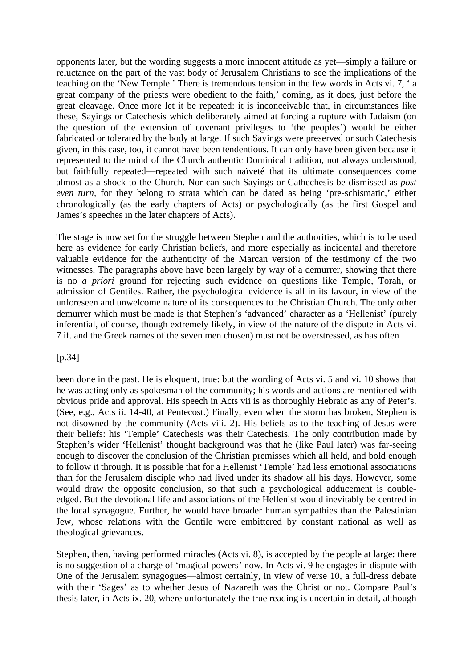opponents later, but the wording suggests a more innocent attitude as yet—simply a failure or reluctance on the part of the vast body of Jerusalem Christians to see the implications of the teaching on the 'New Temple.' There is tremendous tension in the few words in Acts vi. 7, ' a great company of the priests were obedient to the faith,' coming, as it does, just before the great cleavage. Once more let it be repeated: it is inconceivable that, in circumstances like these, Sayings or Catechesis which deliberately aimed at forcing a rupture with Judaism (on the question of the extension of covenant privileges to 'the peoples') would be either fabricated or tolerated by the body at large. If such Sayings were preserved or such Catechesis given, in this case, too, it cannot have been tendentious. It can only have been given because it represented to the mind of the Church authentic Dominical tradition, not always understood, but faithfully repeated—repeated with such naïveté that its ultimate consequences come almost as a shock to the Church. Nor can such Sayings or Cathechesis be dismissed as *post even turn,* for they belong to strata which can be dated as being 'pre-schismatic,' either chronologically (as the early chapters of Acts) or psychologically (as the first Gospel and James's speeches in the later chapters of Acts).

The stage is now set for the struggle between Stephen and the authorities, which is to be used here as evidence for early Christian beliefs, and more especially as incidental and therefore valuable evidence for the authenticity of the Marcan version of the testimony of the two witnesses. The paragraphs above have been largely by way of a demurrer, showing that there is no *a priori* ground for rejecting such evidence on questions like Temple, Torah, or admission of Gentiles. Rather, the psychological evidence is all in its favour, in view of the unforeseen and unwelcome nature of its consequences to the Christian Church. The only other demurrer which must be made is that Stephen's 'advanced' character as a 'Hellenist' (purely inferential, of course, though extremely likely, in view of the nature of the dispute in Acts vi. 7 if. and the Greek names of the seven men chosen) must not be overstressed, as has often

[p.34]

been done in the past. He is eloquent, true: but the wording of Acts vi. 5 and vi. 10 shows that he was acting only as spokesman of the community; his words and actions are mentioned with obvious pride and approval. His speech in Acts vii is as thoroughly Hebraic as any of Peter's. (See, e.g., Acts ii. 14-40, at Pentecost.) Finally, even when the storm has broken, Stephen is not disowned by the community (Acts viii. 2). His beliefs as to the teaching of Jesus were their beliefs: his 'Temple' Catechesis was their Catechesis. The only contribution made by Stephen's wider 'Hellenist' thought background was that he (like Paul later) was far-seeing enough to discover the conclusion of the Christian premisses which all held, and bold enough to follow it through. It is possible that for a Hellenist 'Temple' had less emotional associations than for the Jerusalem disciple who had lived under its shadow all his days. However, some would draw the opposite conclusion, so that such a psychological adducement is doubleedged. But the devotional life and associations of the Hellenist would inevitably be centred in the local synagogue. Further, he would have broader human sympathies than the Palestinian Jew, whose relations with the Gentile were embittered by constant national as well as theological grievances.

Stephen, then, having performed miracles (Acts vi. 8), is accepted by the people at large: there is no suggestion of a charge of 'magical powers' now. In Acts vi. 9 he engages in dispute with One of the Jerusalem synagogues—almost certainly, in view of verse 10, a full-dress debate with their 'Sages' as to whether Jesus of Nazareth was the Christ or not. Compare Paul's thesis later, in Acts ix. 20, where unfortunately the true reading is uncertain in detail, although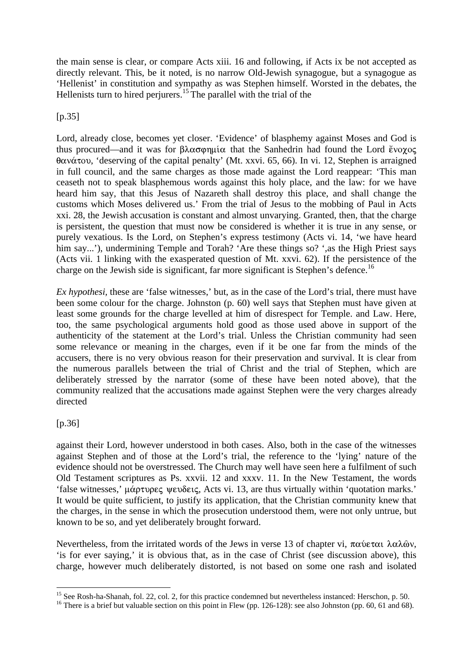the main sense is clear, or compare Acts xiii. 16 and following, if Acts ix be not accepted as directly relevant. This, be it noted, is no narrow Old-Jewish synagogue, but a synagogue as 'Hellenist' in constitution and sympathy as was Stephen himself. Worsted in the debates, the Hellenists turn to hired perjurers.<sup>15</sup> The parallel with the trial of the

### [p.35]

Lord, already close, becomes yet closer. 'Evidence' of blasphemy against Moses and God is thus procured—and it was for  $\beta \lambda \alpha \sigma \varphi \eta \mu \alpha$  that the Sanhedrin had found the Lord  $\psi \circ \chi \circ \varsigma$  $\theta$ avá $\tau$ ov, 'deserving of the capital penalty' (Mt. xxvi. 65, 66). In vi. 12, Stephen is arraigned in full council, and the same charges as those made against the Lord reappear: 'This man ceaseth not to speak blasphemous words against this holy place, and the law: for we have heard him say, that this Jesus of Nazareth shall destroy this place, and shall change the customs which Moses delivered us.' From the trial of Jesus to the mobbing of Paul in Acts xxi. 28, the Jewish accusation is constant and almost unvarying. Granted, then, that the charge is persistent, the question that must now be considered is whether it is true in any sense, or purely vexatious. Is the Lord, on Stephen's express testimony (Acts vi. 14, 'we have heard him say...'), undermining Temple and Torah? 'Are these things so? ', as the High Priest says (Acts vii. 1 linking with the exasperated question of Mt. xxvi. 62). If the persistence of the charge on the Jewish side is significant, far more significant is Stephen's defence.<sup>16</sup>

*Ex hypothesi,* these are 'false witnesses,' but, as in the case of the Lord's trial, there must have been some colour for the charge. Johnston (p. 60) well says that Stephen must have given at least some grounds for the charge levelled at him of disrespect for Temple. and Law. Here, too, the same psychological arguments hold good as those used above in support of the authenticity of the statement at the Lord's trial. Unless the Christian community had seen some relevance or meaning in the charges, even if it be one far from the minds of the accusers, there is no very obvious reason for their preservation and survival. It is clear from the numerous parallels between the trial of Christ and the trial of Stephen, which are deliberately stressed by the narrator (some of these have been noted above), that the community realized that the accusations made against Stephen were the very charges already directed

### [p.36]

against their Lord, however understood in both cases. Also, both in the case of the witnesses against Stephen and of those at the Lord's trial, the reference to the 'lying' nature of the evidence should not be overstressed. The Church may well have seen here a fulfilment of such Old Testament scriptures as Ps. xxvii. 12 and xxxv. 11. In the New Testament, the words 'false witnesses,'  $\mu \alpha \rho \tau \nu \rho \varepsilon \varsigma$  wevos  $\varsigma$ , Acts vi. 13, are thus virtually within 'quotation marks.' It would be quite sufficient, to justify its application, that the Christian community knew that the charges, in the sense in which the prosecution understood them, were not only untrue, but known to be so, and yet deliberately brought forward.

Nevertheless, from the irritated words of the Jews in verse 13 of chapter vi,  $\pi\alpha\hat{\nu}\epsilon\tau\alpha\hat{\lambda}\alpha\lambda\hat{\omega}\nu$ , 'is for ever saying,' it is obvious that, as in the case of Christ (see discussion above), this charge, however much deliberately distorted, is not based on some one rash and isolated

 $\overline{a}$ <sup>15</sup> See Rosh-ha-Shanah, fol. 22, col. 2, for this practice condemned but nevertheless instanced: Herschon, p. 50.

<sup>&</sup>lt;sup>16</sup> There is a brief but valuable section on this point in Flew (pp. 126-128): see also Johnston (pp. 60, 61 and 68).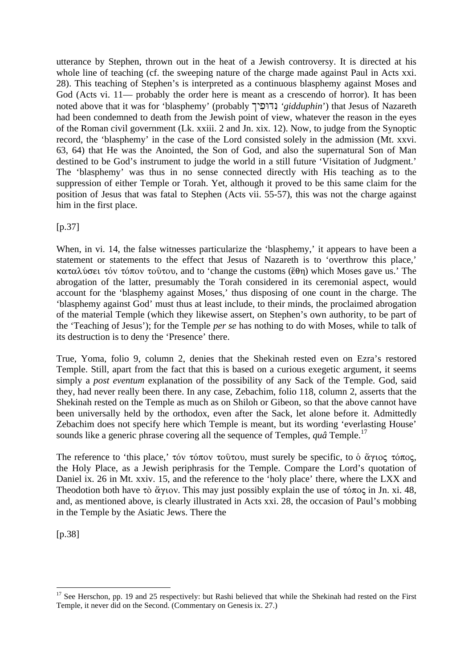utterance by Stephen, thrown out in the heat of a Jewish controversy. It is directed at his whole line of teaching (cf. the sweeping nature of the charge made against Paul in Acts xxi. 28). This teaching of Stephen's is interpreted as a continuous blasphemy against Moses and God (Acts vi. 11— probably the order here is meant as a crescendo of horror). It has been noted above that it was for 'blasphemy' (probably נְדוּפִיך 'gidduphin') that Jesus of Nazareth had been condemned to death from the Jewish point of view, whatever the reason in the eyes of the Roman civil government (Lk. xxiii. 2 and Jn. xix. 12). Now, to judge from the Synoptic record, the 'blasphemy' in the case of the Lord consisted solely in the admission (Mt. xxvi. 63, 64) that He was the Anointed, the Son of God, and also the supernatural Son of Man destined to be God's instrument to judge the world in a still future 'Visitation of Judgment.' The 'blasphemy' was thus in no sense connected directly with His teaching as to the suppression of either Temple or Torah. Yet, although it proved to be this same claim for the position of Jesus that was fatal to Stephen (Acts vii. 55-57), this was not the charge against him in the first place.

 $[p.37]$ 

When, in vi. 14, the false witnesses particularize the 'blasphemy,' it appears to have been a statement or statements to the effect that Jesus of Nazareth is to 'overthrow this place,'  $\kappa$ αταλύσει τόν τόπον τοῦτου, and to 'change the customs ( $\epsilon$ θη) which Moses gave us.' The abrogation of the latter, presumably the Torah considered in its ceremonial aspect, would account for the 'blasphemy against Moses,' thus disposing of one count in the charge. The 'blasphemy against God' must thus at least include, to their minds, the proclaimed abrogation of the material Temple (which they likewise assert, on Stephen's own authority, to be part of the 'Teaching of Jesus'); for the Temple *per se* has nothing to do with Moses, while to talk of its destruction is to deny the 'Presence' there.

True, Yoma, folio 9, column 2, denies that the Shekinah rested even on Ezra's restored Temple. Still, apart from the fact that this is based on a curious exegetic argument, it seems simply a *post eventum* explanation of the possibility of any Sack of the Temple. God, said they, had never really been there. In any case, Zebachim, folio 118, column 2, asserts that the Shekinah rested on the Temple as much as on Shiloh or Gibeon, so that the above cannot have been universally held by the orthodox, even after the Sack, let alone before it. Admittedly Zebachim does not specify here which Temple is meant, but its wording 'everlasting House' sounds like a generic phrase covering all the sequence of Temples, *quâ* Temple.<sup>17</sup>

The reference to 'this place,'  $\tau \circ \nu$   $\tau \circ \pi \circ \nu$ , must surely be specific, to  $\circ \alpha \nu \circ \tau \circ \pi \circ \tau$ , the Holy Place, as a Jewish periphrasis for the Temple. Compare the Lord's quotation of Daniel ix. 26 in Mt. xxiv. 15, and the reference to the 'holy place' there, where the LXX and Theodotion both have  $\tau\delta$   $\alpha$   $\gamma$  tov. This may just possibly explain the use of  $\tau\acute{o}$   $\pi$ o $\varsigma$  in Jn. xi. 48, and, as mentioned above, is clearly illustrated in Acts xxi. 28, the occasion of Paul's mobbing in the Temple by the Asiatic Jews. There the

[p.38]

 $\overline{a}$ <sup>17</sup> See Herschon, pp. 19 and 25 respectively: but Rashi believed that while the Shekinah had rested on the First Temple, it never did on the Second. (Commentary on Genesis ix. 27.)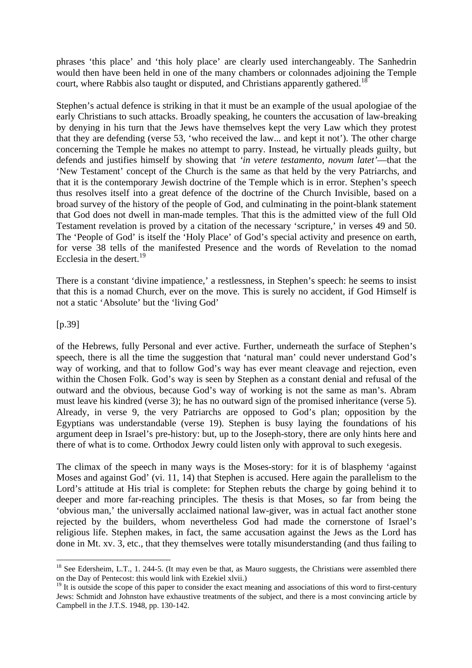phrases 'this place' and 'this holy place' are clearly used interchangeably. The Sanhedrin would then have been held in one of the many chambers or colonnades adjoining the Temple court, where Rabbis also taught or disputed, and Christians apparently gathered.<sup>18</sup>

Stephen's actual defence is striking in that it must be an example of the usual apologiae of the early Christians to such attacks. Broadly speaking, he counters the accusation of law-breaking by denying in his turn that the Jews have themselves kept the very Law which they protest that they are defending (verse 53, 'who received the law... and kept it not'). The other charge concerning the Temple he makes no attempt to parry. Instead, he virtually pleads guilty, but defends and justifies himself by showing that *'in vetere testamento, novum latet'*—that the 'New Testament' concept of the Church is the same as that held by the very Patriarchs, and that it is the contemporary Jewish doctrine of the Temple which is in error. Stephen's speech thus resolves itself into a great defence of the doctrine of the Church Invisible, based on a broad survey of the history of the people of God, and culminating in the point-blank statement that God does not dwell in man-made temples. That this is the admitted view of the full Old Testament revelation is proved by a citation of the necessary 'scripture,' in verses 49 and 50. The 'People of God' is itself the 'Holy Place' of God's special activity and presence on earth, for verse 38 tells of the manifested Presence and the words of Revelation to the nomad Ecclesia in the desert.<sup>19</sup>

There is a constant 'divine impatience,' a restlessness, in Stephen's speech: he seems to insist that this is a nomad Church, ever on the move. This is surely no accident, if God Himself is not a static 'Absolute' but the 'living God'

[p.39]

 $\overline{a}$ 

of the Hebrews, fully Personal and ever active. Further, underneath the surface of Stephen's speech, there is all the time the suggestion that 'natural man' could never understand God's way of working, and that to follow God's way has ever meant cleavage and rejection, even within the Chosen Folk. God's way is seen by Stephen as a constant denial and refusal of the outward and the obvious, because God's way of working is not the same as man's. Abram must leave his kindred (verse 3); he has no outward sign of the promised inheritance (verse 5). Already, in verse 9, the very Patriarchs are opposed to God's plan; opposition by the Egyptians was understandable (verse 19). Stephen is busy laying the foundations of his argument deep in Israel's pre-history: but, up to the Joseph-story, there are only hints here and there of what is to come. Orthodox Jewry could listen only with approval to such exegesis.

The climax of the speech in many ways is the Moses-story: for it is of blasphemy 'against Moses and against God' (vi. 11, 14) that Stephen is accused. Here again the parallelism to the Lord's attitude at His trial is complete: for Stephen rebuts the charge by going behind it to deeper and more far-reaching principles. The thesis is that Moses, so far from being the 'obvious man,' the universally acclaimed national law-giver, was in actual fact another stone rejected by the builders, whom nevertheless God had made the cornerstone of Israel's religious life. Stephen makes, in fact, the same accusation against the Jews as the Lord has done in Mt. xv. 3, etc., that they themselves were totally misunderstanding (and thus failing to

<sup>&</sup>lt;sup>18</sup> See Edersheim, L.T., 1. 244-5. (It may even be that, as Mauro suggests, the Christians were assembled there on the Day of Pentecost: this would link with Ezekiel xlvii.)

 $19$  It is outside the scope of this paper to consider the exact meaning and associations of this word to first-century Jews: Schmidt and Johnston have exhaustive treatments of the subject, and there is a most convincing article by Campbell in the J.T.S. 1948, pp. 130-142.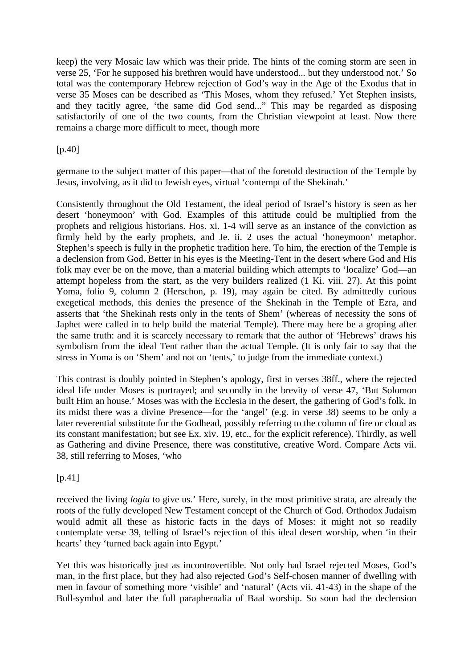keep) the very Mosaic law which was their pride. The hints of the coming storm are seen in verse 25, 'For he supposed his brethren would have understood... but they understood not.' So total was the contemporary Hebrew rejection of God's way in the Age of the Exodus that in verse 35 Moses can be described as 'This Moses, whom they refused.' Yet Stephen insists, and they tacitly agree, 'the same did God send..." This may be regarded as disposing satisfactorily of one of the two counts, from the Christian viewpoint at least. Now there remains a charge more difficult to meet, though more

 $[p.40]$ 

germane to the subject matter of this paper—that of the foretold destruction of the Temple by Jesus, involving, as it did to Jewish eyes, virtual 'contempt of the Shekinah.'

Consistently throughout the Old Testament, the ideal period of Israel's history is seen as her desert 'honeymoon' with God. Examples of this attitude could be multiplied from the prophets and religious historians. Hos. xi. 1-4 will serve as an instance of the conviction as firmly held by the early prophets, and Je. ii. 2 uses the actual 'honeymoon' metaphor. Stephen's speech is fully in the prophetic tradition here. To him, the erection of the Temple is a declension from God. Better in his eyes is the Meeting-Tent in the desert where God and His folk may ever be on the move, than a material building which attempts to 'localize' God—an attempt hopeless from the start, as the very builders realized (1 Ki. viii. 27). At this point Yoma, folio 9, column 2 (Herschon, p. 19), may again be cited. By admittedly curious exegetical methods, this denies the presence of the Shekinah in the Temple of Ezra, and asserts that 'the Shekinah rests only in the tents of Shem' (whereas of necessity the sons of Japhet were called in to help build the material Temple). There may here be a groping after the same truth: and it is scarcely necessary to remark that the author of 'Hebrews' draws his symbolism from the ideal Tent rather than the actual Temple. (It is only fair to say that the stress in Yoma is on 'Shem' and not on 'tents,' to judge from the immediate context.)

This contrast is doubly pointed in Stephen's apology, first in verses 38ff., where the rejected ideal life under Moses is portrayed; and secondly in the brevity of verse 47, 'But Solomon built Him an house.' Moses was with the Ecclesia in the desert, the gathering of God's folk. In its midst there was a divine Presence—for the 'angel' (e.g. in verse 38) seems to be only a later reverential substitute for the Godhead, possibly referring to the column of fire or cloud as its constant manifestation; but see Ex. xiv. 19, etc., for the explicit reference). Thirdly, as well as Gathering and divine Presence, there was constitutive, creative Word. Compare Acts vii. 38, still referring to Moses, 'who

 $[p.41]$ 

received the living *logia* to give us.' Here, surely, in the most primitive strata, are already the roots of the fully developed New Testament concept of the Church of God. Orthodox Judaism would admit all these as historic facts in the days of Moses: it might not so readily contemplate verse 39, telling of Israel's rejection of this ideal desert worship, when 'in their hearts' they 'turned back again into Egypt.'

Yet this was historically just as incontrovertible. Not only had Israel rejected Moses, God's man, in the first place, but they had also rejected God's Self-chosen manner of dwelling with men in favour of something more 'visible' and 'natural' (Acts vii. 41-43) in the shape of the Bull-symbol and later the full paraphernalia of Baal worship. So soon had the declension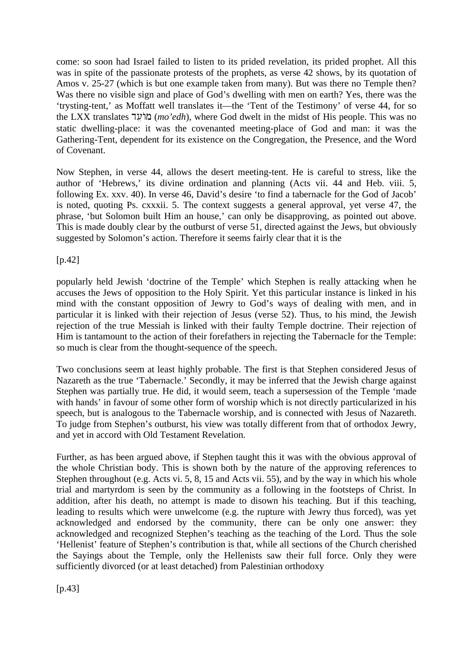come: so soon had Israel failed to listen to its prided revelation, its prided prophet. All this was in spite of the passionate protests of the prophets, as verse 42 shows, by its quotation of Amos v. 25-27 (which is but one example taken from many). But was there no Temple then? Was there no visible sign and place of God's dwelling with men on earth? Yes, there was the 'trysting-tent,' as Moffatt well translates it—the 'Tent of the Testimony' of verse 44, for so the LXX translates du@w{m (*mo'edh*)*,* where God dwelt in the midst of His people. This was no static dwelling-place: it was the covenanted meeting-place of God and man: it was the Gathering-Tent, dependent for its existence on the Congregation, the Presence, and the Word of Covenant.

Now Stephen, in verse 44, allows the desert meeting-tent. He is careful to stress, like the author of 'Hebrews,' its divine ordination and planning (Acts vii. 44 and Heb. viii. 5, following Ex. xxv. 40). In verse 46, David's desire 'to find a tabernacle for the God of Jacob' is noted, quoting Ps. cxxxii. 5. The context suggests a general approval, yet verse 47, the phrase, 'but Solomon built Him an house,' can only be disapproving, as pointed out above. This is made doubly clear by the outburst of verse 51, directed against the Jews, but obviously suggested by Solomon's action. Therefore it seems fairly clear that it is the

[p.42]

popularly held Jewish 'doctrine of the Temple' which Stephen is really attacking when he accuses the Jews of opposition to the Holy Spirit. Yet this particular instance is linked in his mind with the constant opposition of Jewry to God's ways of dealing with men, and in particular it is linked with their rejection of Jesus (verse 52). Thus, to his mind, the Jewish rejection of the true Messiah is linked with their faulty Temple doctrine. Their rejection of Him is tantamount to the action of their forefathers in rejecting the Tabernacle for the Temple: so much is clear from the thought-sequence of the speech.

Two conclusions seem at least highly probable. The first is that Stephen considered Jesus of Nazareth as the true 'Tabernacle.' Secondly, it may be inferred that the Jewish charge against Stephen was partially true. He did, it would seem, teach a supersession of the Temple 'made with hands' in favour of some other form of worship which is not directly particularized in his speech, but is analogous to the Tabernacle worship, and is connected with Jesus of Nazareth. To judge from Stephen's outburst, his view was totally different from that of orthodox Jewry, and yet in accord with Old Testament Revelation.

Further, as has been argued above, if Stephen taught this it was with the obvious approval of the whole Christian body. This is shown both by the nature of the approving references to Stephen throughout (e.g. Acts vi. 5, 8, 15 and Acts vii. 55), and by the way in which his whole trial and martyrdom is seen by the community as a following in the footsteps of Christ. In addition, after his death, no attempt is made to disown his teaching. But if this teaching, leading to results which were unwelcome (e.g. the rupture with Jewry thus forced), was yet acknowledged and endorsed by the community, there can be only one answer: they acknowledged and recognized Stephen's teaching as the teaching of the Lord. Thus the sole 'Hellenist' feature of Stephen's contribution is that, while all sections of the Church cherished the Sayings about the Temple, only the Hellenists saw their full force. Only they were sufficiently divorced (or at least detached) from Palestinian orthodoxy

 $[p.43]$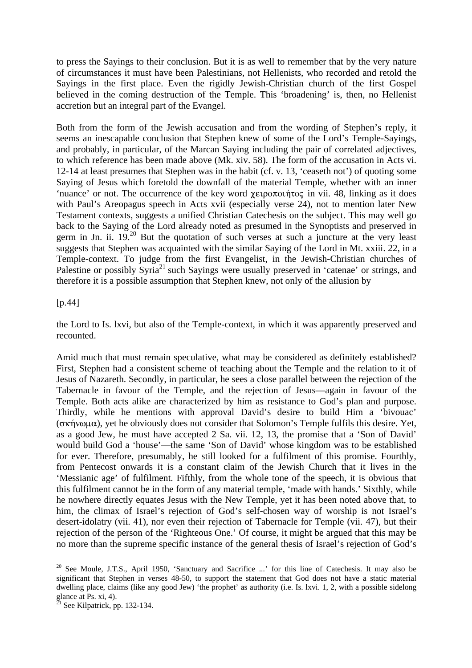to press the Sayings to their conclusion. But it is as well to remember that by the very nature of circumstances it must have been Palestinians, not Hellenists, who recorded and retold the Sayings in the first place. Even the rigidly Jewish-Christian church of the first Gospel believed in the coming destruction of the Temple. This 'broadening' is, then, no Hellenist accretion but an integral part of the Evangel.

Both from the form of the Jewish accusation and from the wording of Stephen's reply, it seems an inescapable conclusion that Stephen knew of some of the Lord's Temple-Sayings, and probably, in particular, of the Marcan Saying including the pair of correlated adjectives, to which reference has been made above (Mk. xiv. 58). The form of the accusation in Acts vi. 12-14 at least presumes that Stephen was in the habit (cf. v. 13, 'ceaseth not') of quoting some Saying of Jesus which foretold the downfall of the material Temple, whether with an inner 'nuance' or not. The occurrence of the key word  $\chi$  *exportation* in vii. 48, linking as it does with Paul's Areopagus speech in Acts xvii (especially verse 24), not to mention later New Testament contexts, suggests a unified Christian Catechesis on the subject. This may well go back to the Saying of the Lord already noted as presumed in the Synoptists and preserved in germ in Jn. ii.  $19<sup>20</sup>$  But the quotation of such verses at such a juncture at the very least suggests that Stephen was acquainted with the similar Saving of the Lord in Mt. xxiii. 22, in a Temple-context. To judge from the first Evangelist, in the Jewish-Christian churches of Palestine or possibly Syria<sup>21</sup> such Sayings were usually preserved in 'catenae' or strings, and therefore it is a possible assumption that Stephen knew, not only of the allusion by

### [p.44]

the Lord to Is. lxvi, but also of the Temple-context, in which it was apparently preserved and recounted.

Amid much that must remain speculative, what may be considered as definitely established? First, Stephen had a consistent scheme of teaching about the Temple and the relation to it of Jesus of Nazareth. Secondly, in particular, he sees a close parallel between the rejection of the Tabernacle in favour of the Temple, and the rejection of Jesus—again in favour of the Temple. Both acts alike are characterized by him as resistance to God's plan and purpose. Thirdly, while he mentions with approval David's desire to build Him a 'bivouac'  $(\sigma \kappa \hat{\eta} \nu \omega)$ , yet he obviously does not consider that Solomon's Temple fulfils this desire. Yet, as a good Jew, he must have accepted 2 Sa. vii. 12, 13, the promise that a 'Son of David' would build God a 'house'—the same 'Son of David' whose kingdom was to be established for ever. Therefore, presumably, he still looked for a fulfilment of this promise. Fourthly, from Pentecost onwards it is a constant claim of the Jewish Church that it lives in the 'Messianic age' of fulfilment. Fifthly, from the whole tone of the speech, it is obvious that this fulfilment cannot be in the form of any material temple, 'made with hands.' Sixthly, while he nowhere directly equates Jesus with the New Temple, yet it has been noted above that, to him, the climax of Israel's rejection of God's self-chosen way of worship is not Israel's desert-idolatry (vii. 41), nor even their rejection of Tabernacle for Temple (vii. 47), but their rejection of the person of the 'Righteous One.' Of course, it might be argued that this may be no more than the supreme specific instance of the general thesis of Israel's rejection of God's

 $\overline{a}$ 

<sup>&</sup>lt;sup>20</sup> See Moule, J.T.S., April 1950, 'Sanctuary and Sacrifice ...' for this line of Catechesis. It may also be significant that Stephen in verses 48-50, to support the statement that God does not have a static material dwelling place, claims (like any good Jew) 'the prophet' as authority (i.e. Is. lxvi. 1, 2, with a possible sidelong glance at Ps. xi, 4).

 $^{\overline{2}1}$  See Kilpatrick, pp. 132-134.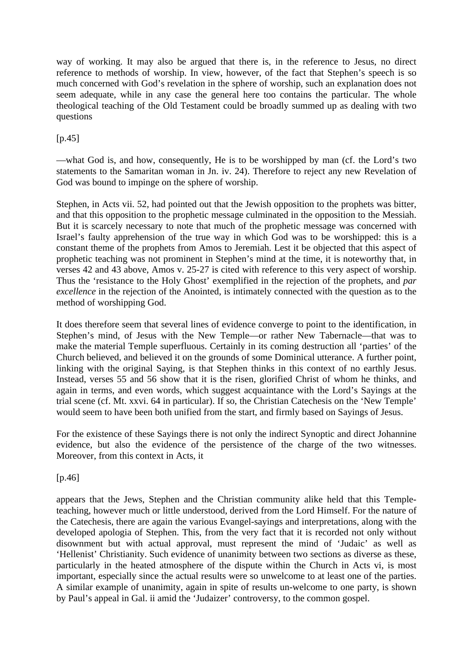way of working. It may also be argued that there is, in the reference to Jesus, no direct reference to methods of worship. In view, however, of the fact that Stephen's speech is so much concerned with God's revelation in the sphere of worship, such an explanation does not seem adequate, while in any case the general here too contains the particular. The whole theological teaching of the Old Testament could be broadly summed up as dealing with two questions

 $[p.45]$ 

—what God is, and how, consequently, He is to be worshipped by man (cf. the Lord's two statements to the Samaritan woman in Jn. iv. 24). Therefore to reject any new Revelation of God was bound to impinge on the sphere of worship.

Stephen, in Acts vii. 52, had pointed out that the Jewish opposition to the prophets was bitter, and that this opposition to the prophetic message culminated in the opposition to the Messiah. But it is scarcely necessary to note that much of the prophetic message was concerned with Israel's faulty apprehension of the true way in which God was to be worshipped: this is a constant theme of the prophets from Amos to Jeremiah. Lest it be objected that this aspect of prophetic teaching was not prominent in Stephen's mind at the time, it is noteworthy that, in verses 42 and 43 above, Amos v. 25-27 is cited with reference to this very aspect of worship. Thus the 'resistance to the Holy Ghost' exemplified in the rejection of the prophets, and *par excellence* in the rejection of the Anointed, is intimately connected with the question as to the method of worshipping God.

It does therefore seem that several lines of evidence converge to point to the identification, in Stephen's mind, of Jesus with the New Temple—or rather New Tabernacle—that was to make the material Temple superfluous. Certainly in its coming destruction all 'parties' of the Church believed, and believed it on the grounds of some Dominical utterance. A further point, linking with the original Saying, is that Stephen thinks in this context of no earthly Jesus. Instead, verses 55 and 56 show that it is the risen, glorified Christ of whom he thinks, and again in terms, and even words, which suggest acquaintance with the Lord's Sayings at the trial scene (cf. Mt. xxvi. 64 in particular). If so, the Christian Catechesis on the 'New Temple' would seem to have been both unified from the start, and firmly based on Sayings of Jesus.

For the existence of these Sayings there is not only the indirect Synoptic and direct Johannine evidence, but also the evidence of the persistence of the charge of the two witnesses. Moreover, from this context in Acts, it

[p.46]

appears that the Jews, Stephen and the Christian community alike held that this Templeteaching, however much or little understood, derived from the Lord Himself. For the nature of the Catechesis, there are again the various Evangel-sayings and interpretations, along with the developed apologia of Stephen. This, from the very fact that it is recorded not only without disownment but with actual approval, must represent the mind of 'Judaic' as well as 'Hellenist' Christianity. Such evidence of unanimity between two sections as diverse as these, particularly in the heated atmosphere of the dispute within the Church in Acts vi, is most important, especially since the actual results were so unwelcome to at least one of the parties. A similar example of unanimity, again in spite of results un-welcome to one party, is shown by Paul's appeal in Gal. ii amid the 'Judaizer' controversy, to the common gospel.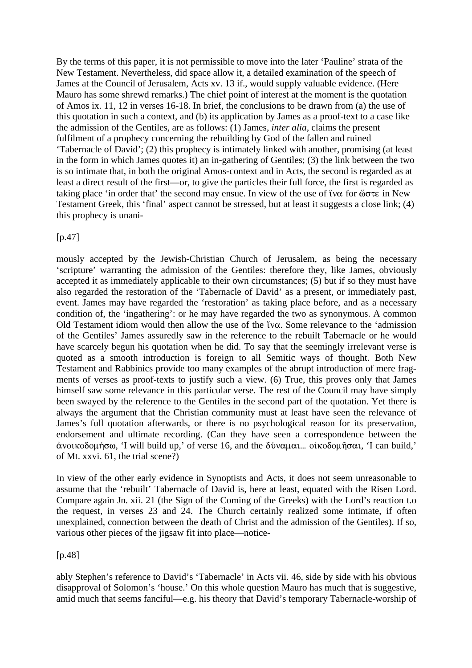By the terms of this paper, it is not permissible to move into the later 'Pauline' strata of the New Testament. Nevertheless, did space allow it, a detailed examination of the speech of James at the Council of Jerusalem, Acts xv. 13 if., would supply valuable evidence. (Here Mauro has some shrewd remarks.) The chief point of interest at the moment is the quotation of Amos ix. 11, 12 in verses 16-18. In brief, the conclusions to be drawn from (a) the use of this quotation in such a context, and (b) its application by James as a proof-text to a case like the admission of the Gentiles, are as follows: (1) James, *inter alia,* claims the present fulfilment of a prophecy concerning the rebuilding by God of the fallen and ruined 'Tabernacle of David'; (2) this prophecy is intimately linked with another, promising (at least in the form in which James quotes it) an in-gathering of Gentiles; (3) the link between the two is so intimate that, in both the original Amos-context and in Acts, the second is regarded as at least a direct result of the first—or, to give the particles their full force, the first is regarded as taking place 'in order that' the second may ensue. In view of the use of tv $\alpha$  for  $\omega \sigma \tau \epsilon$  in New Testament Greek, this 'final' aspect cannot be stressed, but at least it suggests a close link; (4) this prophecy is unani-

[p.47]

mously accepted by the Jewish-Christian Church of Jerusalem, as being the necessary 'scripture' warranting the admission of the Gentiles: therefore they, like James, obviously accepted it as immediately applicable to their own circumstances; (5) but if so they must have also regarded the restoration of the 'Tabernacle of David' as a present, or immediately past, event. James may have regarded the 'restoration' as taking place before, and as a necessary condition of, the 'ingathering': or he may have regarded the two as synonymous. A common Old Testament idiom would then allow the use of the  $\tilde{v}$  v $\alpha$ . Some relevance to the 'admission of the Gentiles' James assuredly saw in the reference to the rebuilt Tabernacle or he would have scarcely begun his quotation when he did. To say that the seemingly irrelevant verse is quoted as a smooth introduction is foreign to all Semitic ways of thought. Both New Testament and Rabbinics provide too many examples of the abrupt introduction of mere fragments of verses as proof-texts to justify such a view. (6) True, this proves only that James himself saw some relevance in this particular verse. The rest of the Council may have simply been swayed by the reference to the Gentiles in the second part of the quotation. Yet there is always the argument that the Christian community must at least have seen the relevance of James's full quotation afterwards, or there is no psychological reason for its preservation, endorsement and ultimate recording. (Can they have seen a correspondence between the άνοικοδομήσω, 'I will build up,' of verse 16, and the δύναμαι... οἰκοδομήσαι, 'I can build,' of Mt. xxvi. 61, the trial scene?)

In view of the other early evidence in Synoptists and Acts, it does not seem unreasonable to assume that the 'rebuilt' Tabernacle of David is, here at least, equated with the Risen Lord. Compare again Jn. xii. 21 (the Sign of the Coming of the Greeks) with the Lord's reaction t.o the request, in verses 23 and 24. The Church certainly realized some intimate, if often unexplained, connection between the death of Christ and the admission of the Gentiles). If so, various other pieces of the jigsaw fit into place—notice-

### [p.48]

ably Stephen's reference to David's 'Tabernacle' in Acts vii. 46, side by side with his obvious disapproval of Solomon's 'house.' On this whole question Mauro has much that is suggestive, amid much that seems fanciful—e.g. his theory that David's temporary Tabernacle-worship of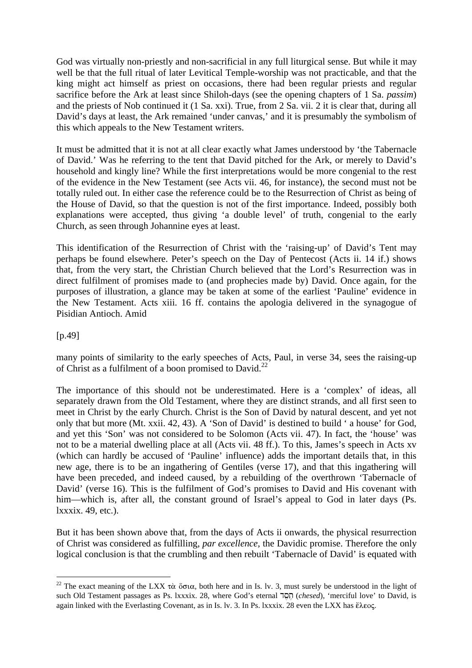God was virtually non-priestly and non-sacrificial in any full liturgical sense. But while it may well be that the full ritual of later Levitical Temple-worship was not practicable, and that the king might act himself as priest on occasions, there had been regular priests and regular sacrifice before the Ark at least since Shiloh-days (see the opening chapters of 1 Sa. *passim*) and the priests of Nob continued it (1 Sa. xxi). True, from 2 Sa. vii. 2 it is clear that, during all David's days at least, the Ark remained 'under canvas,' and it is presumably the symbolism of this which appeals to the New Testament writers.

It must be admitted that it is not at all clear exactly what James understood by 'the Tabernacle of David.' Was he referring to the tent that David pitched for the Ark, or merely to David's household and kingly line? While the first interpretations would be more congenial to the rest of the evidence in the New Testament (see Acts vii. 46, for instance), the second must not be totally ruled out. In either case the reference could be to the Resurrection of Christ as being of the House of David, so that the question is not of the first importance. Indeed, possibly both explanations were accepted, thus giving 'a double level' of truth, congenial to the early Church, as seen through Johannine eyes at least.

This identification of the Resurrection of Christ with the 'raising-up' of David's Tent may perhaps be found elsewhere. Peter's speech on the Day of Pentecost (Acts ii. 14 if.) shows that, from the very start, the Christian Church believed that the Lord's Resurrection was in direct fulfilment of promises made to (and prophecies made by) David. Once again, for the purposes of illustration, a glance may be taken at some of the earliest 'Pauline' evidence in the New Testament. Acts xiii. 16 ff. contains the apologia delivered in the synagogue of Pisidian Antioch. Amid

[p.49]

 $\overline{a}$ 

many points of similarity to the early speeches of Acts, Paul, in verse 34, sees the raising-up of Christ as a fulfilment of a boon promised to David.<sup>22</sup>

The importance of this should not be underestimated. Here is a 'complex' of ideas, all separately drawn from the Old Testament, where they are distinct strands, and all first seen to meet in Christ by the early Church. Christ is the Son of David by natural descent, and yet not only that but more (Mt. xxii. 42, 43). A 'Son of David' is destined to build ' a house' for God, and yet this 'Son' was not considered to be Solomon (Acts vii. 47). In fact, the 'house' was not to be a material dwelling place at all (Acts vii. 48 ff.). To this, James's speech in Acts xv (which can hardly be accused of 'Pauline' influence) adds the important details that, in this new age, there is to be an ingathering of Gentiles (verse 17), and that this ingathering will have been preceded, and indeed caused, by a rebuilding of the overthrown 'Tabernacle of David' (verse 16). This is the fulfilment of God's promises to David and His covenant with him—which is, after all, the constant ground of Israel's appeal to God in later days (Ps. lxxxix. 49, etc.).

But it has been shown above that, from the days of Acts ii onwards, the physical resurrection of Christ was considered as fulfilling, *par excellence,* the Davidic promise. Therefore the only logical conclusion is that the crumbling and then rebuilt 'Tabernacle of David' is equated with

<sup>&</sup>lt;sup>22</sup> The exact meaning of the LXX  $\tau\dot{\alpha}$   $\ddot{\sigma}\sigma\alpha$ , both here and in Is. lv. 3, must surely be understood in the light of such Old Testament passages as Ps. lxxxix. 28, where God's eternal **100** (*chesed*), 'merciful love' to David, is again linked with the Everlasting Covenant, as in Is. lv. 3. In Ps. lxxxix. 28 even the LXX has  $\epsilon \lambda \epsilon o \varsigma$ .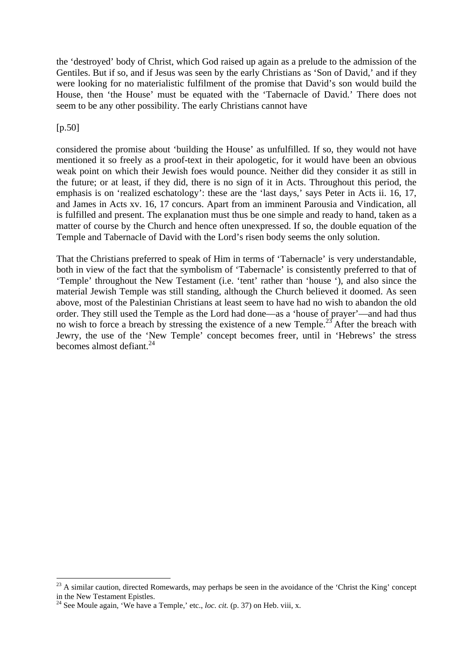the 'destroyed' body of Christ, which God raised up again as a prelude to the admission of the Gentiles. But if so, and if Jesus was seen by the early Christians as 'Son of David,' and if they were looking for no materialistic fulfilment of the promise that David's son would build the House, then 'the House' must be equated with the 'Tabernacle of David.' There does not seem to be any other possibility. The early Christians cannot have

### [p.50]

 $\overline{a}$ 

considered the promise about 'building the House' as unfulfilled. If so, they would not have mentioned it so freely as a proof-text in their apologetic, for it would have been an obvious weak point on which their Jewish foes would pounce. Neither did they consider it as still in the future; or at least, if they did, there is no sign of it in Acts. Throughout this period, the emphasis is on 'realized eschatology': these are the 'last days,' says Peter in Acts ii. 16, 17, and James in Acts xv. 16, 17 concurs. Apart from an imminent Parousia and Vindication, all is fulfilled and present. The explanation must thus be one simple and ready to hand, taken as a matter of course by the Church and hence often unexpressed. If so, the double equation of the Temple and Tabernacle of David with the Lord's risen body seems the only solution.

That the Christians preferred to speak of Him in terms of 'Tabernacle' is very understandable, both in view of the fact that the symbolism of 'Tabernacle' is consistently preferred to that of 'Temple' throughout the New Testament (i.e. 'tent' rather than 'house '), and also since the material Jewish Temple was still standing, although the Church believed it doomed. As seen above, most of the Palestinian Christians at least seem to have had no wish to abandon the old order. They still used the Temple as the Lord had done—as a 'house of prayer'—and had thus no wish to force a breach by stressing the existence of a new Temple.<sup>23</sup> After the breach with Jewry, the use of the 'New Temple' concept becomes freer, until in 'Hebrews' the stress becomes almost defiant. $^{24}$ 

<sup>&</sup>lt;sup>23</sup> A similar caution, directed Romewards, may perhaps be seen in the avoidance of the 'Christ the King' concept in the New Testament Epistles.

<sup>&</sup>lt;sup>24</sup> See Moule again, 'We have a Temple,' etc., *loc. cit.* (p. 37) on Heb. viii, x.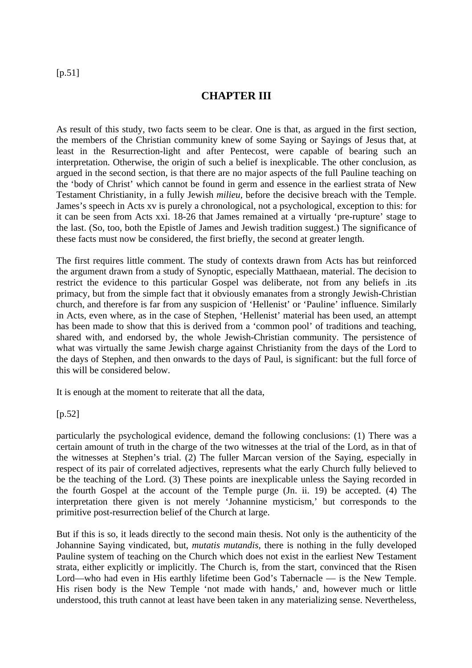### [p.51]

### **CHAPTER III**

As result of this study, two facts seem to be clear. One is that, as argued in the first section, the members of the Christian community knew of some Saying or Sayings of Jesus that, at least in the Resurrection-light and after Pentecost, were capable of bearing such an interpretation. Otherwise, the origin of such a belief is inexplicable. The other conclusion, as argued in the second section, is that there are no major aspects of the full Pauline teaching on the 'body of Christ' which cannot be found in germ and essence in the earliest strata of New Testament Christianity, in a fully Jewish *milieu,* before the decisive breach with the Temple. James's speech in Acts xv is purely a chronological, not a psychological, exception to this: for it can be seen from Acts xxi. 18-26 that James remained at a virtually 'pre-rupture' stage to the last. (So, too, both the Epistle of James and Jewish tradition suggest.) The significance of these facts must now be considered, the first briefly, the second at greater length.

The first requires little comment. The study of contexts drawn from Acts has but reinforced the argument drawn from a study of Synoptic, especially Matthaean, material. The decision to restrict the evidence to this particular Gospel was deliberate, not from any beliefs in .its primacy, but from the simple fact that it obviously emanates from a strongly Jewish-Christian church, and therefore is far from any suspicion of 'Hellenist' or 'Pauline' influence. Similarly in Acts, even where, as in the case of Stephen, 'Hellenist' material has been used, an attempt has been made to show that this is derived from a 'common pool' of traditions and teaching, shared with, and endorsed by, the whole Jewish-Christian community. The persistence of what was virtually the same Jewish charge against Christianity from the days of the Lord to the days of Stephen, and then onwards to the days of Paul, is significant: but the full force of this will be considered below.

It is enough at the moment to reiterate that all the data,

### $[p.52]$

particularly the psychological evidence, demand the following conclusions: (1) There was a certain amount of truth in the charge of the two witnesses at the trial of the Lord, as in that of the witnesses at Stephen's trial. (2) The fuller Marcan version of the Saying, especially in respect of its pair of correlated adjectives, represents what the early Church fully believed to be the teaching of the Lord. (3) These points are inexplicable unless the Saying recorded in the fourth Gospel at the account of the Temple purge (Jn. ii. 19) be accepted. (4) The interpretation there given is not merely 'Johannine mysticism,' but corresponds to the primitive post-resurrection belief of the Church at large.

But if this is so, it leads directly to the second main thesis. Not only is the authenticity of the Johannine Saying vindicated, but, *mutatis mutandis,* there is nothing in the fully developed Pauline system of teaching on the Church which does not exist in the earliest New Testament strata, either explicitly or implicitly. The Church is, from the start, convinced that the Risen Lord—who had even in His earthly lifetime been God's Tabernacle — is the New Temple. His risen body is the New Temple 'not made with hands,' and, however much or little understood, this truth cannot at least have been taken in any materializing sense. Nevertheless,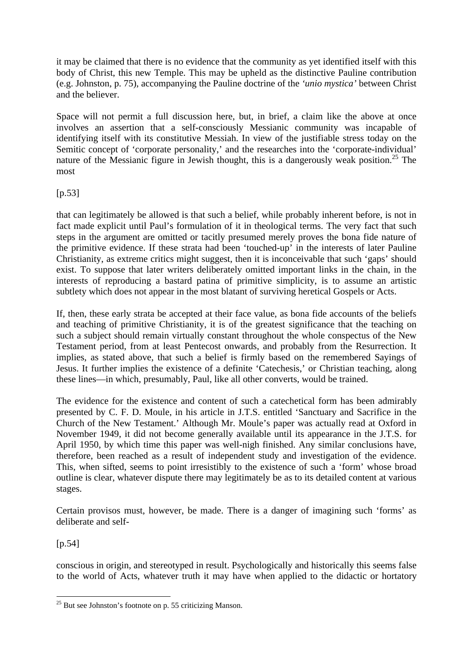it may be claimed that there is no evidence that the community as yet identified itself with this body of Christ, this new Temple. This may be upheld as the distinctive Pauline contribution (e.g. Johnston, p. 75), accompanying the Pauline doctrine of the *'unio mystica'* between Christ and the believer.

Space will not permit a full discussion here, but, in brief, a claim like the above at once involves an assertion that a self-consciously Messianic community was incapable of identifying itself with its constitutive Messiah. In view of the justifiable stress today on the Semitic concept of 'corporate personality,' and the researches into the 'corporate-individual' nature of the Messianic figure in Jewish thought, this is a dangerously weak position.<sup>25</sup> The most

 $[p.53]$ 

that can legitimately be allowed is that such a belief, while probably inherent before, is not in fact made explicit until Paul's formulation of it in theological terms. The very fact that such steps in the argument are omitted or tacitly presumed merely proves the bona fide nature of the primitive evidence. If these strata had been 'touched-up' in the interests of later Pauline Christianity, as extreme critics might suggest, then it is inconceivable that such 'gaps' should exist. To suppose that later writers deliberately omitted important links in the chain, in the interests of reproducing a bastard patina of primitive simplicity, is to assume an artistic subtlety which does not appear in the most blatant of surviving heretical Gospels or Acts.

If, then, these early strata be accepted at their face value, as bona fide accounts of the beliefs and teaching of primitive Christianity, it is of the greatest significance that the teaching on such a subject should remain virtually constant throughout the whole conspectus of the New Testament period, from at least Pentecost onwards, and probably from the Resurrection. It implies, as stated above, that such a belief is firmly based on the remembered Sayings of Jesus. It further implies the existence of a definite 'Catechesis,' or Christian teaching, along these lines—in which, presumably, Paul, like all other converts, would be trained.

The evidence for the existence and content of such a catechetical form has been admirably presented by C. F. D. Moule, in his article in J.T.S. entitled 'Sanctuary and Sacrifice in the Church of the New Testament.' Although Mr. Moule's paper was actually read at Oxford in November 1949, it did not become generally available until its appearance in the J.T.S. for April 1950, by which time this paper was well-nigh finished. Any similar conclusions have, therefore, been reached as a result of independent study and investigation of the evidence. This, when sifted, seems to point irresistibly to the existence of such a 'form' whose broad outline is clear, whatever dispute there may legitimately be as to its detailed content at various stages.

Certain provisos must, however, be made. There is a danger of imagining such 'forms' as deliberate and self-

 $[p.54]$ 

conscious in origin, and stereotyped in result. Psychologically and historically this seems false to the world of Acts, whatever truth it may have when applied to the didactic or hortatory

 $\overline{a}$  $^{25}$  But see Johnston's footnote on p. 55 criticizing Manson.